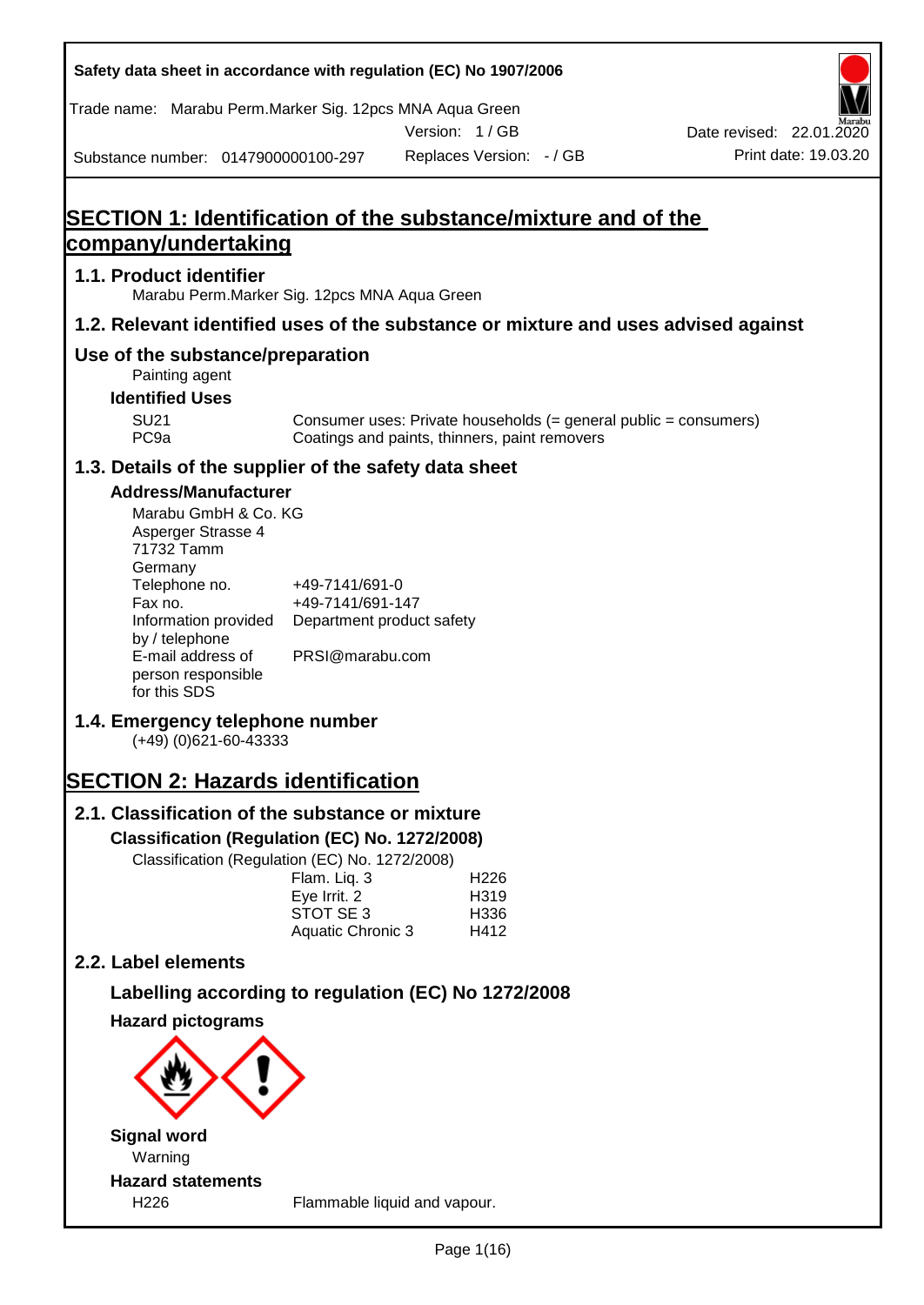| Safety data sheet in accordance with regulation (EC) No 1907/2006                                                                                                                                                                   |                                                                                    |                                                                                                                   |                                                  |
|-------------------------------------------------------------------------------------------------------------------------------------------------------------------------------------------------------------------------------------|------------------------------------------------------------------------------------|-------------------------------------------------------------------------------------------------------------------|--------------------------------------------------|
| Trade name: Marabu Perm.Marker Sig. 12pcs MNA Aqua Green                                                                                                                                                                            |                                                                                    | Version: 1 / GB                                                                                                   |                                                  |
| Substance number: 0147900000100-297                                                                                                                                                                                                 |                                                                                    | Replaces Version: - / GB                                                                                          | Date revised: 22.01.2020<br>Print date: 19.03.20 |
|                                                                                                                                                                                                                                     |                                                                                    |                                                                                                                   |                                                  |
| <b>SECTION 1: Identification of the substance/mixture and of the</b>                                                                                                                                                                |                                                                                    |                                                                                                                   |                                                  |
| company/undertaking                                                                                                                                                                                                                 |                                                                                    |                                                                                                                   |                                                  |
| 1.1. Product identifier<br>Marabu Perm. Marker Sig. 12pcs MNA Aqua Green                                                                                                                                                            |                                                                                    |                                                                                                                   |                                                  |
| 1.2. Relevant identified uses of the substance or mixture and uses advised against                                                                                                                                                  |                                                                                    |                                                                                                                   |                                                  |
| Use of the substance/preparation<br>Painting agent                                                                                                                                                                                  |                                                                                    |                                                                                                                   |                                                  |
| <b>Identified Uses</b>                                                                                                                                                                                                              |                                                                                    |                                                                                                                   |                                                  |
| <b>SU21</b><br>PC <sub>9a</sub>                                                                                                                                                                                                     |                                                                                    | Consumer uses: Private households (= general public = consumers)<br>Coatings and paints, thinners, paint removers |                                                  |
| 1.3. Details of the supplier of the safety data sheet                                                                                                                                                                               |                                                                                    |                                                                                                                   |                                                  |
| <b>Address/Manufacturer</b><br>Marabu GmbH & Co. KG<br>Asperger Strasse 4<br>71732 Tamm<br>Germany<br>Telephone no.<br>Fax no.<br>Information provided<br>by / telephone<br>E-mail address of<br>person responsible<br>for this SDS | +49-7141/691-0<br>+49-7141/691-147<br>Department product safety<br>PRSI@marabu.com |                                                                                                                   |                                                  |
| 1.4. Emergency telephone number<br>$(+49)$ (0)621-60-43333                                                                                                                                                                          |                                                                                    |                                                                                                                   |                                                  |
| <b>SECTION 2: Hazards identification</b>                                                                                                                                                                                            |                                                                                    |                                                                                                                   |                                                  |
| 2.1. Classification of the substance or mixture                                                                                                                                                                                     |                                                                                    |                                                                                                                   |                                                  |
| Classification (Regulation (EC) No. 1272/2008)                                                                                                                                                                                      |                                                                                    |                                                                                                                   |                                                  |
| Classification (Regulation (EC) No. 1272/2008)                                                                                                                                                                                      | Flam. Liq. 3<br>Eye Irrit. 2<br>STOT SE 3<br>Aquatic Chronic 3                     | H <sub>226</sub><br>H319<br>H336<br>H412                                                                          |                                                  |
| 2.2. Label elements                                                                                                                                                                                                                 |                                                                                    |                                                                                                                   |                                                  |
|                                                                                                                                                                                                                                     |                                                                                    | Labelling according to regulation (EC) No 1272/2008                                                               |                                                  |
| <b>Hazard pictograms</b>                                                                                                                                                                                                            |                                                                                    |                                                                                                                   |                                                  |
|                                                                                                                                                                                                                                     |                                                                                    |                                                                                                                   |                                                  |
| <b>Signal word</b>                                                                                                                                                                                                                  |                                                                                    |                                                                                                                   |                                                  |
| Warning                                                                                                                                                                                                                             |                                                                                    |                                                                                                                   |                                                  |
| <b>Hazard statements</b><br>H226                                                                                                                                                                                                    |                                                                                    | Flammable liquid and vapour.                                                                                      |                                                  |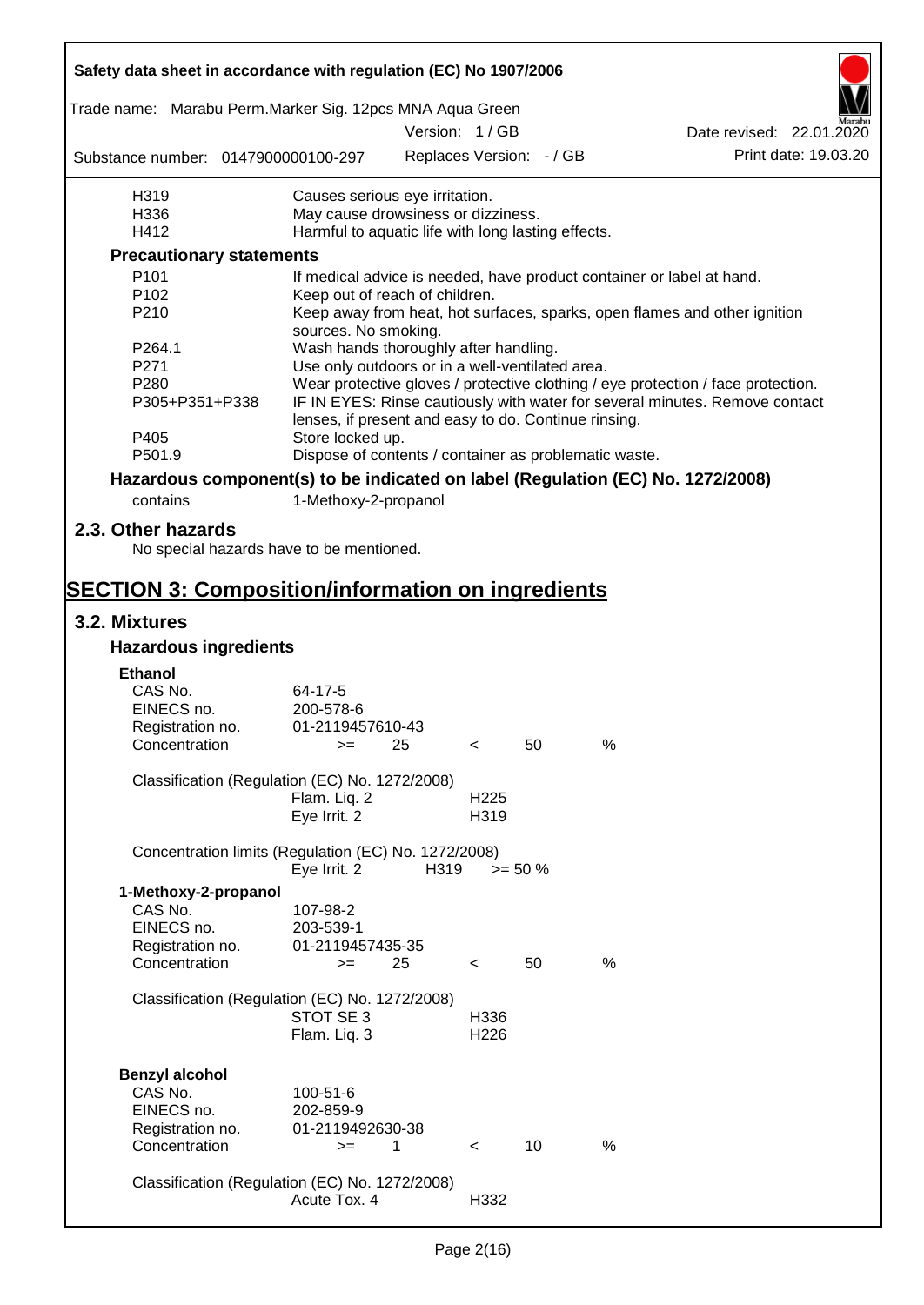| Safety data sheet in accordance with regulation (EC) No 1907/2006               |                                                                                                                                     |               |                          |                          |      |                                                                                  |  |
|---------------------------------------------------------------------------------|-------------------------------------------------------------------------------------------------------------------------------------|---------------|--------------------------|--------------------------|------|----------------------------------------------------------------------------------|--|
| Trade name: Marabu Perm. Marker Sig. 12pcs MNA Aqua Green                       |                                                                                                                                     |               |                          |                          |      |                                                                                  |  |
|                                                                                 |                                                                                                                                     | Version: 1/GB |                          |                          |      | Date revised: 22.01.2020<br>Print date: 19.03.20                                 |  |
| Substance number: 0147900000100-297                                             |                                                                                                                                     |               |                          | Replaces Version: - / GB |      |                                                                                  |  |
| H319                                                                            | Causes serious eye irritation.                                                                                                      |               |                          |                          |      |                                                                                  |  |
| H336                                                                            | May cause drowsiness or dizziness.                                                                                                  |               |                          |                          |      |                                                                                  |  |
| H412                                                                            | Harmful to aquatic life with long lasting effects.                                                                                  |               |                          |                          |      |                                                                                  |  |
| <b>Precautionary statements</b>                                                 |                                                                                                                                     |               |                          |                          |      |                                                                                  |  |
| P101                                                                            |                                                                                                                                     |               |                          |                          |      | If medical advice is needed, have product container or label at hand.            |  |
| P <sub>102</sub><br>P210                                                        | Keep out of reach of children.                                                                                                      |               |                          |                          |      | Keep away from heat, hot surfaces, sparks, open flames and other ignition        |  |
|                                                                                 | sources. No smoking.                                                                                                                |               |                          |                          |      |                                                                                  |  |
| P264.1                                                                          | Wash hands thoroughly after handling.                                                                                               |               |                          |                          |      |                                                                                  |  |
| P271                                                                            | Use only outdoors or in a well-ventilated area.                                                                                     |               |                          |                          |      |                                                                                  |  |
| P <sub>280</sub>                                                                |                                                                                                                                     |               |                          |                          |      | Wear protective gloves / protective clothing / eye protection / face protection. |  |
| P305+P351+P338                                                                  | IF IN EYES: Rinse cautiously with water for several minutes. Remove contact<br>lenses, if present and easy to do. Continue rinsing. |               |                          |                          |      |                                                                                  |  |
| P405                                                                            | Store locked up.                                                                                                                    |               |                          |                          |      |                                                                                  |  |
| P501.9                                                                          | Dispose of contents / container as problematic waste.                                                                               |               |                          |                          |      |                                                                                  |  |
| Hazardous component(s) to be indicated on label (Regulation (EC) No. 1272/2008) |                                                                                                                                     |               |                          |                          |      |                                                                                  |  |
| contains                                                                        | 1-Methoxy-2-propanol                                                                                                                |               |                          |                          |      |                                                                                  |  |
| 2.3. Other hazards<br>No special hazards have to be mentioned.                  |                                                                                                                                     |               |                          |                          |      |                                                                                  |  |
| <b>SECTION 3: Composition/information on ingredients</b>                        |                                                                                                                                     |               |                          |                          |      |                                                                                  |  |
| 3.2. Mixtures                                                                   |                                                                                                                                     |               |                          |                          |      |                                                                                  |  |
| <b>Hazardous ingredients</b>                                                    |                                                                                                                                     |               |                          |                          |      |                                                                                  |  |
|                                                                                 |                                                                                                                                     |               |                          |                          |      |                                                                                  |  |
| <b>Ethanol</b><br>CAS No.                                                       | 64-17-5                                                                                                                             |               |                          |                          |      |                                                                                  |  |
| EINECS no.                                                                      | 200-578-6                                                                                                                           |               |                          |                          |      |                                                                                  |  |
| Registration no.                                                                | 01-2119457610-43                                                                                                                    |               |                          |                          |      |                                                                                  |  |
| Concentration                                                                   | >= ∴                                                                                                                                | 25            | $\prec$                  | 50                       | %    |                                                                                  |  |
| Classification (Regulation (EC) No. 1272/2008)                                  |                                                                                                                                     |               |                          |                          |      |                                                                                  |  |
|                                                                                 | Flam. Lig. 2<br>Eye Irrit. 2                                                                                                        |               | H <sub>225</sub><br>H319 |                          |      |                                                                                  |  |
| Concentration limits (Regulation (EC) No. 1272/2008)                            | Eye Irrit. 2                                                                                                                        | H319          |                          | $>= 50 \%$               |      |                                                                                  |  |
|                                                                                 |                                                                                                                                     |               |                          |                          |      |                                                                                  |  |
| 1-Methoxy-2-propanol<br>CAS No.                                                 | 107-98-2                                                                                                                            |               |                          |                          |      |                                                                                  |  |
| EINECS no.                                                                      | 203-539-1                                                                                                                           |               |                          |                          |      |                                                                                  |  |
| Registration no.                                                                | 01-2119457435-35                                                                                                                    |               |                          |                          |      |                                                                                  |  |
| Concentration                                                                   | $>=$                                                                                                                                | 25            | $\overline{\phantom{a}}$ | 50                       | %    |                                                                                  |  |
| Classification (Regulation (EC) No. 1272/2008)                                  |                                                                                                                                     |               |                          |                          |      |                                                                                  |  |
|                                                                                 | STOT SE 3                                                                                                                           |               | H336                     |                          |      |                                                                                  |  |
|                                                                                 | Flam. Liq. 3                                                                                                                        |               | H <sub>226</sub>         |                          |      |                                                                                  |  |
| <b>Benzyl alcohol</b>                                                           |                                                                                                                                     |               |                          |                          |      |                                                                                  |  |
| CAS No.                                                                         | 100-51-6                                                                                                                            |               |                          |                          |      |                                                                                  |  |
| EINECS no.                                                                      | 202-859-9                                                                                                                           |               |                          |                          |      |                                                                                  |  |
| Registration no.                                                                | 01-2119492630-38                                                                                                                    |               |                          |                          |      |                                                                                  |  |
| Concentration                                                                   | $>=$                                                                                                                                | 1             | $\prec$                  | 10                       | $\%$ |                                                                                  |  |
|                                                                                 |                                                                                                                                     |               |                          |                          |      |                                                                                  |  |
| Classification (Regulation (EC) No. 1272/2008)                                  |                                                                                                                                     |               |                          |                          |      |                                                                                  |  |
|                                                                                 | Acute Tox. 4                                                                                                                        |               | H332                     |                          |      |                                                                                  |  |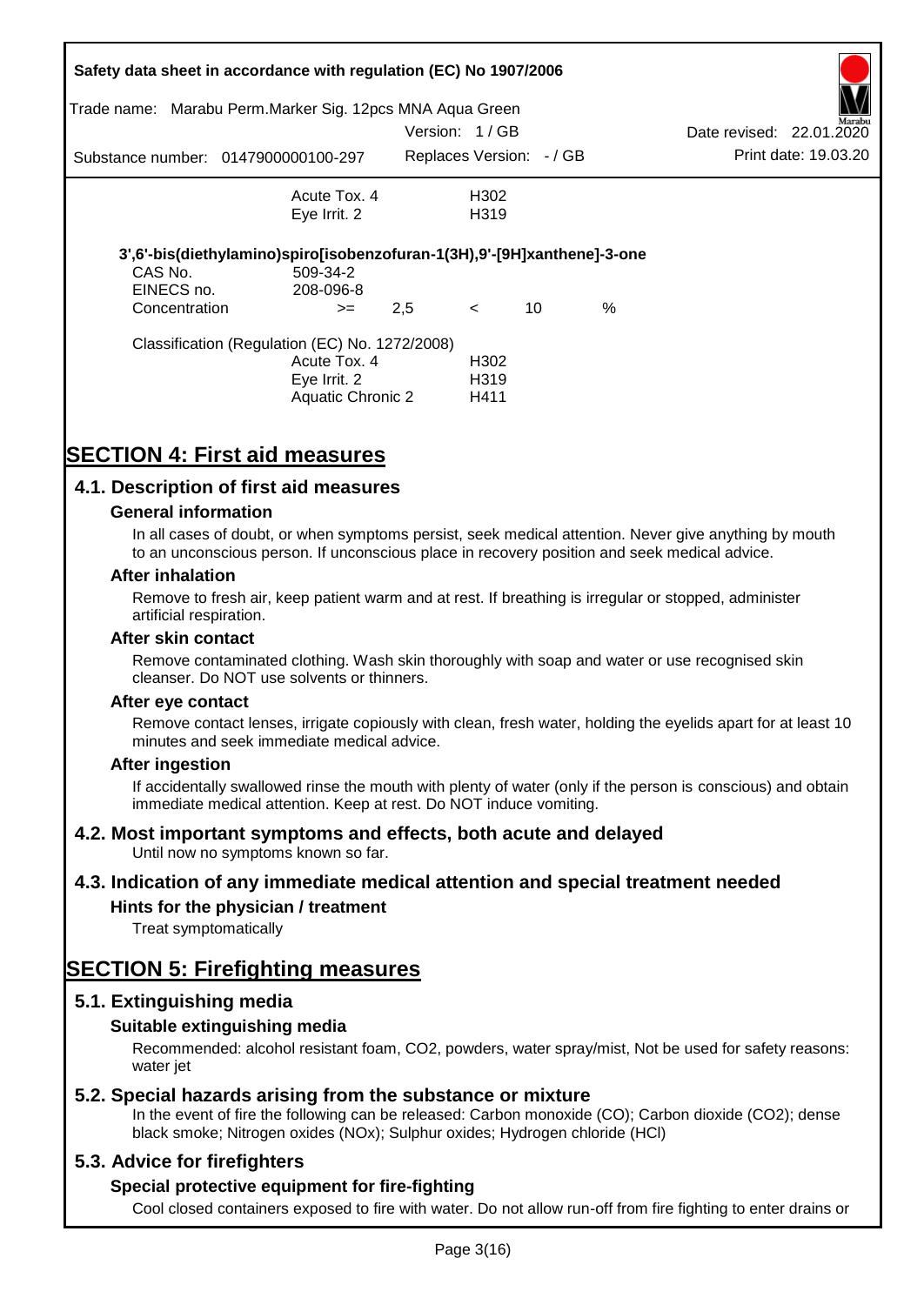| Trade name:                            | Safety data sheet in accordance with regulation (EC) No 1907/2006<br>Marabu Perm. Marker Sig. 12pcs MNA Aqua Green |                          |                                               |    |      |                          |                      |
|----------------------------------------|--------------------------------------------------------------------------------------------------------------------|--------------------------|-----------------------------------------------|----|------|--------------------------|----------------------|
|                                        |                                                                                                                    | Version: 1/GB            |                                               |    |      | Date revised: 22.01.2020 | Marabu               |
|                                        | Substance number: 0147900000100-297                                                                                | Replaces Version: - / GB |                                               |    |      |                          | Print date: 19.03.20 |
|                                        | Acute Tox. 4<br>Eye Irrit. 2                                                                                       |                          | H302<br>H <sub>3</sub> 19                     |    |      |                          |                      |
| CAS No.<br>EINECS no.<br>Concentration | 3',6'-bis(diethylamino)spiro[isobenzofuran-1(3H),9'-[9H]xanthene]-3-one<br>509-34-2<br>208-096-8<br>$>=$           | 2,5                      | $\lt$                                         | 10 | $\%$ |                          |                      |
|                                        | Classification (Regulation (EC) No. 1272/2008)<br>Acute Tox. 4<br>Eye Irrit. 2<br>Aquatic Chronic 2                |                          | H <sub>302</sub><br>H <sub>3</sub> 19<br>H411 |    |      |                          |                      |

# **SECTION 4: First aid measures**

### **4.1. Description of first aid measures**

#### **General information**

In all cases of doubt, or when symptoms persist, seek medical attention. Never give anything by mouth to an unconscious person. If unconscious place in recovery position and seek medical advice.

#### **After inhalation**

Remove to fresh air, keep patient warm and at rest. If breathing is irregular or stopped, administer artificial respiration.

#### **After skin contact**

Remove contaminated clothing. Wash skin thoroughly with soap and water or use recognised skin cleanser. Do NOT use solvents or thinners.

#### **After eye contact**

Remove contact lenses, irrigate copiously with clean, fresh water, holding the eyelids apart for at least 10 minutes and seek immediate medical advice.

#### **After ingestion**

If accidentally swallowed rinse the mouth with plenty of water (only if the person is conscious) and obtain immediate medical attention. Keep at rest. Do NOT induce vomiting.

#### **4.2. Most important symptoms and effects, both acute and delayed**

Until now no symptoms known so far.

#### **4.3. Indication of any immediate medical attention and special treatment needed**

#### **Hints for the physician / treatment**

Treat symptomatically

# **SECTION 5: Firefighting measures**

#### **5.1. Extinguishing media**

#### **Suitable extinguishing media**

Recommended: alcohol resistant foam, CO2, powders, water spray/mist, Not be used for safety reasons: water *iet* 

#### **5.2. Special hazards arising from the substance or mixture**

In the event of fire the following can be released: Carbon monoxide (CO); Carbon dioxide (CO2); dense black smoke; Nitrogen oxides (NOx); Sulphur oxides; Hydrogen chloride (HCl)

#### **5.3. Advice for firefighters**

#### **Special protective equipment for fire-fighting**

Cool closed containers exposed to fire with water. Do not allow run-off from fire fighting to enter drains or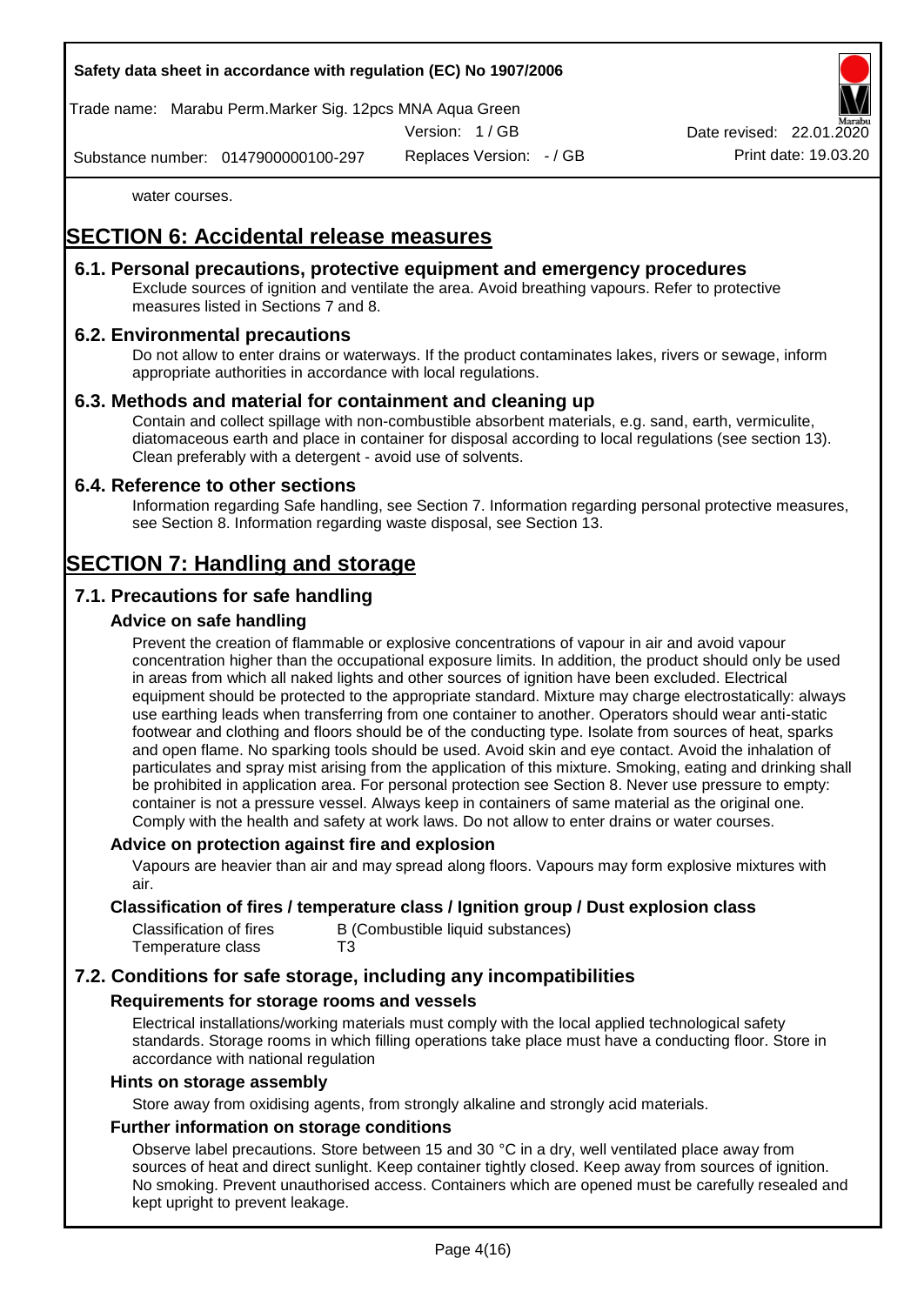#### **Safety data sheet in accordance with regulation (EC) No 1907/2006**

Trade name: Marabu Perm.Marker Sig. 12pcs MNA Aqua Green

Version: 1 / GB

Replaces Version: - / GB Print date: 19.03.20 Date revised: 22.01.

Substance number: 0147900000100-297

water courses.

# **SECTION 6: Accidental release measures**

### **6.1. Personal precautions, protective equipment and emergency procedures**

Exclude sources of ignition and ventilate the area. Avoid breathing vapours. Refer to protective measures listed in Sections 7 and 8.

### **6.2. Environmental precautions**

Do not allow to enter drains or waterways. If the product contaminates lakes, rivers or sewage, inform appropriate authorities in accordance with local regulations.

### **6.3. Methods and material for containment and cleaning up**

Contain and collect spillage with non-combustible absorbent materials, e.g. sand, earth, vermiculite, diatomaceous earth and place in container for disposal according to local regulations (see section 13). Clean preferably with a detergent - avoid use of solvents.

#### **6.4. Reference to other sections**

Information regarding Safe handling, see Section 7. Information regarding personal protective measures, see Section 8. Information regarding waste disposal, see Section 13.

# **SECTION 7: Handling and storage**

## **7.1. Precautions for safe handling**

### **Advice on safe handling**

Prevent the creation of flammable or explosive concentrations of vapour in air and avoid vapour concentration higher than the occupational exposure limits. In addition, the product should only be used in areas from which all naked lights and other sources of ignition have been excluded. Electrical equipment should be protected to the appropriate standard. Mixture may charge electrostatically: always use earthing leads when transferring from one container to another. Operators should wear anti-static footwear and clothing and floors should be of the conducting type. Isolate from sources of heat, sparks and open flame. No sparking tools should be used. Avoid skin and eye contact. Avoid the inhalation of particulates and spray mist arising from the application of this mixture. Smoking, eating and drinking shall be prohibited in application area. For personal protection see Section 8. Never use pressure to empty: container is not a pressure vessel. Always keep in containers of same material as the original one. Comply with the health and safety at work laws. Do not allow to enter drains or water courses.

#### **Advice on protection against fire and explosion**

Vapours are heavier than air and may spread along floors. Vapours may form explosive mixtures with air.

#### **Classification of fires / temperature class / Ignition group / Dust explosion class**

| Classification of fires | B (Combustible liquid substances) |
|-------------------------|-----------------------------------|
| Temperature class       | T3                                |

# **7.2. Conditions for safe storage, including any incompatibilities**

#### **Requirements for storage rooms and vessels**

Electrical installations/working materials must comply with the local applied technological safety standards. Storage rooms in which filling operations take place must have a conducting floor. Store in accordance with national regulation

#### **Hints on storage assembly**

Store away from oxidising agents, from strongly alkaline and strongly acid materials.

#### **Further information on storage conditions**

Observe label precautions. Store between 15 and 30 °C in a dry, well ventilated place away from sources of heat and direct sunlight. Keep container tightly closed. Keep away from sources of ignition. No smoking. Prevent unauthorised access. Containers which are opened must be carefully resealed and kept upright to prevent leakage.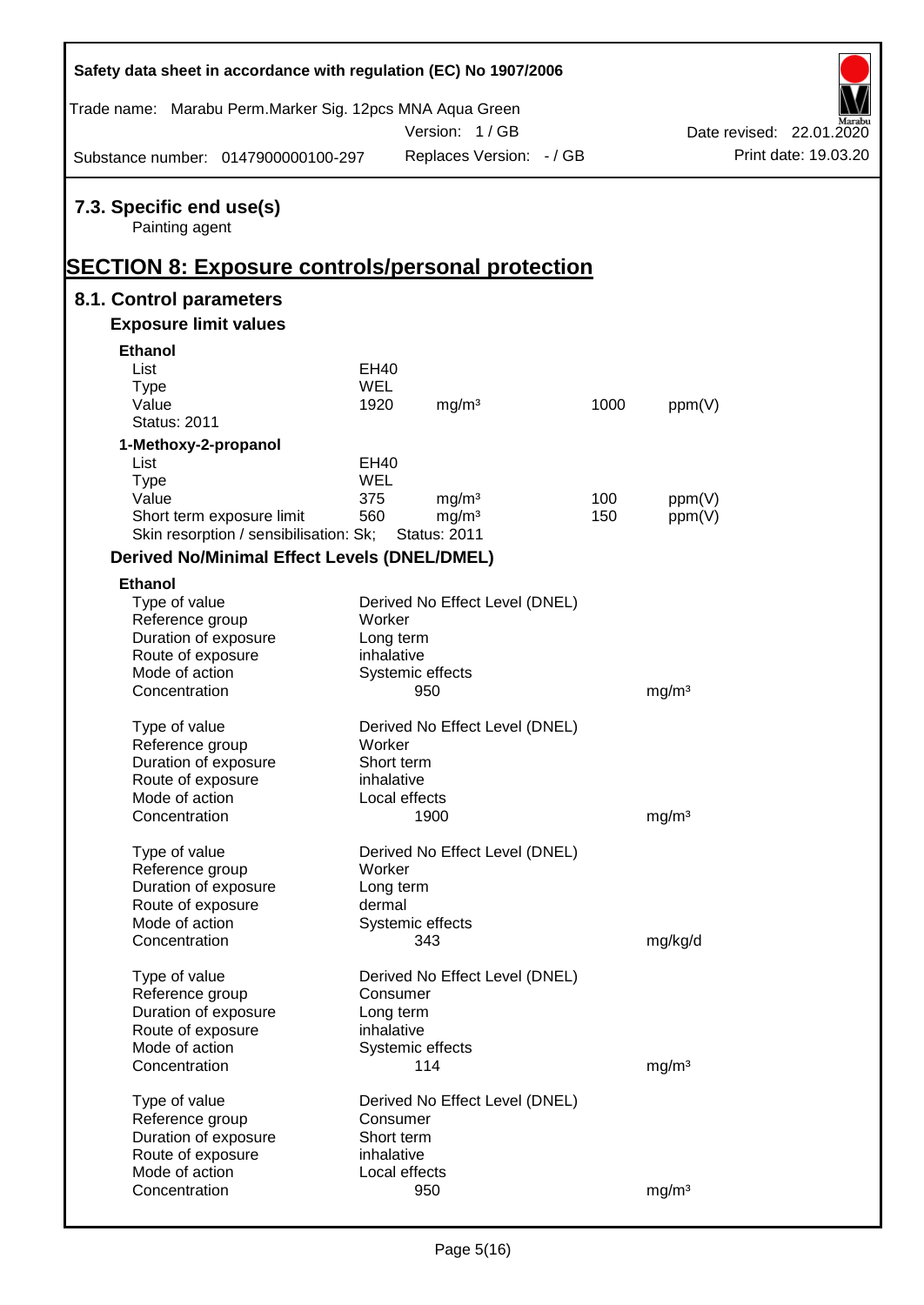| Safety data sheet in accordance with regulation (EC) No 1907/2006 |                          |                     |                                |      |                   |                                                  |
|-------------------------------------------------------------------|--------------------------|---------------------|--------------------------------|------|-------------------|--------------------------------------------------|
| Trade name: Marabu Perm.Marker Sig. 12pcs MNA Aqua Green          |                          | Version: 1/GB       |                                |      |                   |                                                  |
| Substance number: 0147900000100-297                               |                          |                     | Replaces Version: - / GB       |      |                   | Date revised: 22.01.2020<br>Print date: 19.03.20 |
|                                                                   |                          |                     |                                |      |                   |                                                  |
| 7.3. Specific end use(s)<br>Painting agent                        |                          |                     |                                |      |                   |                                                  |
| <b>SECTION 8: Exposure controls/personal protection</b>           |                          |                     |                                |      |                   |                                                  |
| 8.1. Control parameters                                           |                          |                     |                                |      |                   |                                                  |
| <b>Exposure limit values</b>                                      |                          |                     |                                |      |                   |                                                  |
| <b>Ethanol</b>                                                    |                          |                     |                                |      |                   |                                                  |
| List                                                              | <b>EH40</b>              |                     |                                |      |                   |                                                  |
| <b>Type</b>                                                       | <b>WEL</b>               |                     |                                |      |                   |                                                  |
| Value                                                             | 1920                     | mg/m <sup>3</sup>   |                                | 1000 | ppm(V)            |                                                  |
| <b>Status: 2011</b>                                               |                          |                     |                                |      |                   |                                                  |
| 1-Methoxy-2-propanol                                              |                          |                     |                                |      |                   |                                                  |
| List                                                              | <b>EH40</b>              |                     |                                |      |                   |                                                  |
| <b>Type</b>                                                       | <b>WEL</b>               |                     |                                |      |                   |                                                  |
| Value                                                             | 375                      | mg/m <sup>3</sup>   |                                | 100  | ppm(V)            |                                                  |
| Short term exposure limit                                         | 560                      | mg/m <sup>3</sup>   |                                | 150  | ppm(V)            |                                                  |
| Skin resorption / sensibilisation: Sk;                            |                          | <b>Status: 2011</b> |                                |      |                   |                                                  |
| <b>Derived No/Minimal Effect Levels (DNEL/DMEL)</b>               |                          |                     |                                |      |                   |                                                  |
| <b>Ethanol</b>                                                    |                          |                     |                                |      |                   |                                                  |
| Type of value                                                     |                          |                     | Derived No Effect Level (DNEL) |      |                   |                                                  |
| Reference group                                                   | Worker                   |                     |                                |      |                   |                                                  |
| Duration of exposure                                              | Long term                |                     |                                |      |                   |                                                  |
| Route of exposure                                                 | inhalative               |                     |                                |      |                   |                                                  |
| Mode of action                                                    |                          | Systemic effects    |                                |      |                   |                                                  |
| Concentration                                                     |                          | 950                 |                                |      | mg/m <sup>3</sup> |                                                  |
|                                                                   |                          |                     |                                |      |                   |                                                  |
| Type of value                                                     | Worker                   |                     | Derived No Effect Level (DNEL) |      |                   |                                                  |
| Reference group                                                   |                          |                     |                                |      |                   |                                                  |
| Duration of exposure<br>Route of exposure                         | Short term<br>inhalative |                     |                                |      |                   |                                                  |
| Mode of action                                                    |                          | Local effects       |                                |      |                   |                                                  |
| Concentration                                                     |                          | 1900                |                                |      | mg/m <sup>3</sup> |                                                  |
|                                                                   |                          |                     |                                |      |                   |                                                  |
| Type of value                                                     |                          |                     | Derived No Effect Level (DNEL) |      |                   |                                                  |
| Reference group                                                   | Worker                   |                     |                                |      |                   |                                                  |
| Duration of exposure                                              | Long term                |                     |                                |      |                   |                                                  |
| Route of exposure                                                 | dermal                   |                     |                                |      |                   |                                                  |
| Mode of action                                                    |                          | Systemic effects    |                                |      |                   |                                                  |
| Concentration                                                     |                          | 343                 |                                |      | mg/kg/d           |                                                  |
| Type of value                                                     |                          |                     | Derived No Effect Level (DNEL) |      |                   |                                                  |
| Reference group                                                   | Consumer                 |                     |                                |      |                   |                                                  |
| Duration of exposure                                              | Long term                |                     |                                |      |                   |                                                  |
| Route of exposure                                                 | inhalative               |                     |                                |      |                   |                                                  |
| Mode of action                                                    |                          | Systemic effects    |                                |      |                   |                                                  |
| Concentration                                                     |                          | 114                 |                                |      | mg/m <sup>3</sup> |                                                  |
|                                                                   |                          |                     |                                |      |                   |                                                  |
| Type of value                                                     |                          |                     | Derived No Effect Level (DNEL) |      |                   |                                                  |
| Reference group                                                   | Consumer<br>Short term   |                     |                                |      |                   |                                                  |
| Duration of exposure<br>Route of exposure                         | inhalative               |                     |                                |      |                   |                                                  |
| Mode of action                                                    |                          | Local effects       |                                |      |                   |                                                  |
| Concentration                                                     |                          | 950                 |                                |      | mg/m <sup>3</sup> |                                                  |
|                                                                   |                          |                     |                                |      |                   |                                                  |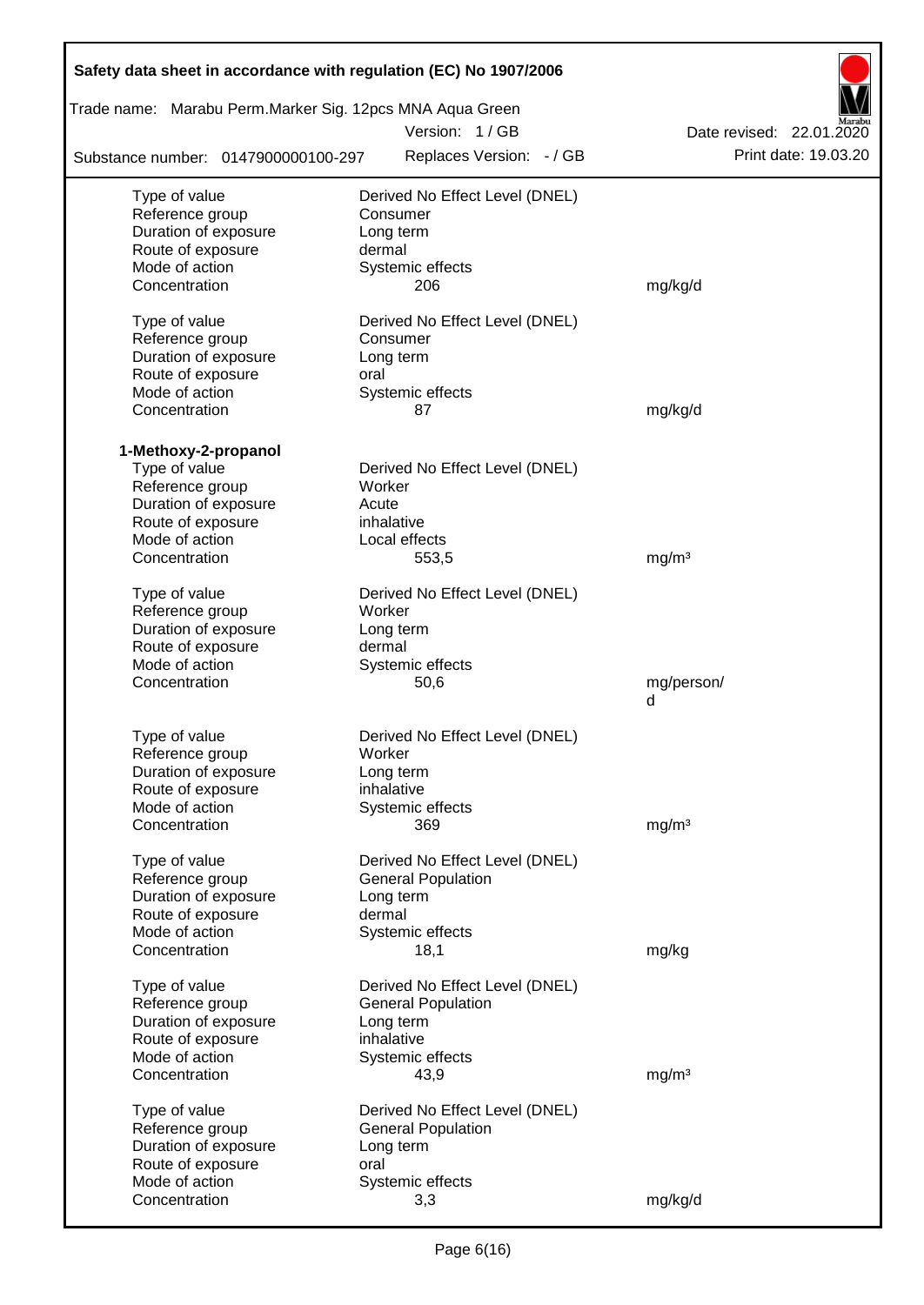| Safety data sheet in accordance with regulation (EC) No 1907/2006 |                                |                          |
|-------------------------------------------------------------------|--------------------------------|--------------------------|
| Trade name: Marabu Perm.Marker Sig. 12pcs MNA Aqua Green          |                                |                          |
|                                                                   | Version: 1/GB                  | Date revised: 22.01.2020 |
| Substance number: 0147900000100-297                               | Replaces Version: - / GB       | Print date: 19.03.20     |
| Type of value                                                     | Derived No Effect Level (DNEL) |                          |
| Reference group                                                   | Consumer                       |                          |
| Duration of exposure                                              | Long term                      |                          |
| Route of exposure                                                 | dermal                         |                          |
| Mode of action                                                    | Systemic effects               |                          |
| Concentration                                                     | 206                            | mg/kg/d                  |
| Type of value                                                     | Derived No Effect Level (DNEL) |                          |
| Reference group                                                   | Consumer                       |                          |
| Duration of exposure                                              | Long term                      |                          |
| Route of exposure                                                 | oral                           |                          |
| Mode of action                                                    | Systemic effects               |                          |
| Concentration                                                     | 87                             | mg/kg/d                  |
| 1-Methoxy-2-propanol                                              |                                |                          |
| Type of value                                                     | Derived No Effect Level (DNEL) |                          |
| Reference group                                                   | Worker                         |                          |
| Duration of exposure                                              | Acute                          |                          |
| Route of exposure                                                 | inhalative                     |                          |
| Mode of action                                                    | Local effects                  |                          |
| Concentration                                                     | 553,5                          | mg/m <sup>3</sup>        |
| Type of value                                                     | Derived No Effect Level (DNEL) |                          |
| Reference group                                                   | Worker                         |                          |
| Duration of exposure                                              | Long term                      |                          |
| Route of exposure                                                 | dermal                         |                          |
| Mode of action                                                    | Systemic effects               |                          |
| Concentration                                                     | 50,6                           | mg/person/               |
|                                                                   |                                | d                        |
| Type of value                                                     | Derived No Effect Level (DNEL) |                          |
| Reference group                                                   | Worker                         |                          |
| Duration of exposure                                              | Long term                      |                          |
| Route of exposure                                                 | inhalative                     |                          |
| Mode of action                                                    | Systemic effects               |                          |
| Concentration                                                     | 369                            | mg/m <sup>3</sup>        |
|                                                                   |                                |                          |
| Type of value                                                     | Derived No Effect Level (DNEL) |                          |
| Reference group                                                   | <b>General Population</b>      |                          |
| Duration of exposure                                              | Long term                      |                          |
| Route of exposure                                                 | dermal                         |                          |
| Mode of action                                                    | Systemic effects               |                          |
| Concentration                                                     | 18,1                           | mg/kg                    |
| Type of value                                                     | Derived No Effect Level (DNEL) |                          |
| Reference group                                                   | <b>General Population</b>      |                          |
| Duration of exposure                                              | Long term                      |                          |
| Route of exposure                                                 | inhalative                     |                          |
| Mode of action                                                    | Systemic effects               |                          |
| Concentration                                                     | 43,9                           | mg/m <sup>3</sup>        |
| Type of value                                                     | Derived No Effect Level (DNEL) |                          |
| Reference group                                                   | <b>General Population</b>      |                          |
| Duration of exposure                                              | Long term                      |                          |
| Route of exposure                                                 | oral                           |                          |
| Mode of action                                                    | Systemic effects               |                          |
| Concentration                                                     | 3,3                            | mg/kg/d                  |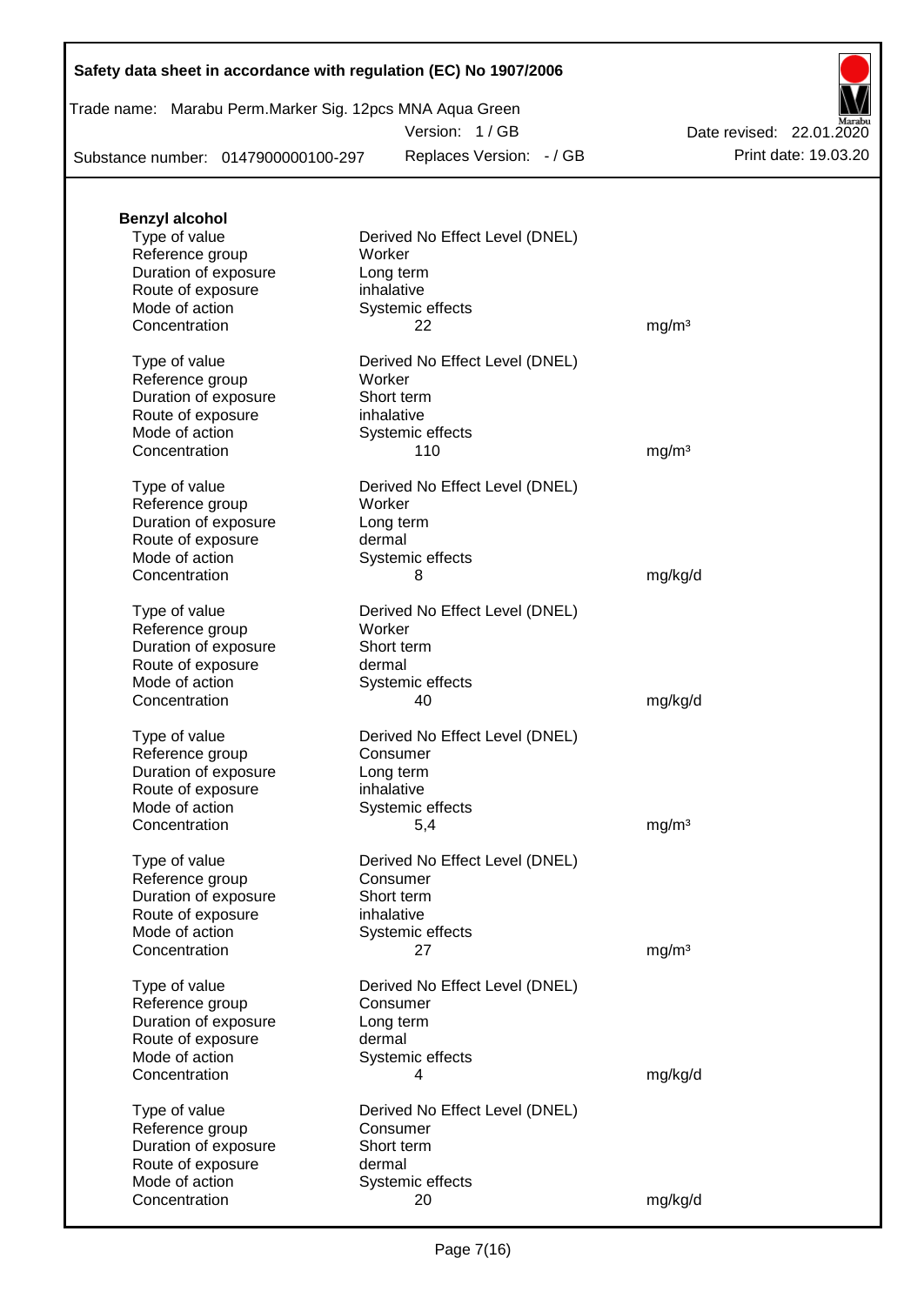| Safety data sheet in accordance with regulation (EC) No 1907/2006 |  |  |  |  |
|-------------------------------------------------------------------|--|--|--|--|
|-------------------------------------------------------------------|--|--|--|--|

| Trade name: Marabu Perm.Marker Sig. 12pcs MNA Aqua Green |  |  |  |  |
|----------------------------------------------------------|--|--|--|--|
|                                                          |  |  |  |  |

Version: 1 / GB

Replaces Version: - / GB Print date: 19.03.20 Date revised: 22.01.2020

Substance number: 0147900000100-297

| <b>Benzyl alcohol</b> |                                |                   |
|-----------------------|--------------------------------|-------------------|
| Type of value         | Derived No Effect Level (DNEL) |                   |
| Reference group       | Worker                         |                   |
| Duration of exposure  | Long term                      |                   |
| Route of exposure     | inhalative                     |                   |
| Mode of action        | Systemic effects               |                   |
| Concentration         | 22                             | mg/m <sup>3</sup> |
|                       |                                |                   |
| Type of value         | Derived No Effect Level (DNEL) |                   |
| Reference group       | Worker                         |                   |
| Duration of exposure  | Short term                     |                   |
|                       |                                |                   |
| Route of exposure     | inhalative                     |                   |
| Mode of action        | Systemic effects               |                   |
| Concentration         | 110                            | mg/m <sup>3</sup> |
|                       |                                |                   |
| Type of value         | Derived No Effect Level (DNEL) |                   |
| Reference group       | Worker                         |                   |
| Duration of exposure  | Long term                      |                   |
| Route of exposure     | dermal                         |                   |
| Mode of action        | Systemic effects               |                   |
| Concentration         | 8                              | mg/kg/d           |
|                       |                                |                   |
| Type of value         | Derived No Effect Level (DNEL) |                   |
| Reference group       | Worker                         |                   |
| Duration of exposure  | Short term                     |                   |
| Route of exposure     | dermal                         |                   |
| Mode of action        | Systemic effects               |                   |
| Concentration         | 40                             | mg/kg/d           |
|                       |                                |                   |
| Type of value         | Derived No Effect Level (DNEL) |                   |
| Reference group       | Consumer                       |                   |
|                       |                                |                   |
| Duration of exposure  | Long term                      |                   |
| Route of exposure     | inhalative                     |                   |
| Mode of action        | Systemic effects               |                   |
| Concentration         | 5,4                            | mg/m <sup>3</sup> |
|                       |                                |                   |
| Type of value         | Derived No Effect Level (DNEL) |                   |
| Reference group       | Consumer                       |                   |
| Duration of exposure  | Short term                     |                   |
| Route of exposure     | inhalative                     |                   |
| Mode of action        | Systemic effects               |                   |
| Concentration         | 27                             | mg/m <sup>3</sup> |
|                       |                                |                   |
| Type of value         | Derived No Effect Level (DNEL) |                   |
| Reference group       | Consumer                       |                   |
| Duration of exposure  | Long term                      |                   |
| Route of exposure     | dermal                         |                   |
| Mode of action        | Systemic effects               |                   |
| Concentration         | 4                              | mg/kg/d           |
|                       |                                |                   |
| Type of value         | Derived No Effect Level (DNEL) |                   |
| Reference group       | Consumer                       |                   |
| Duration of exposure  | Short term                     |                   |
| Route of exposure     | dermal                         |                   |
| Mode of action        | Systemic effects               |                   |
| Concentration         | 20                             | mg/kg/d           |
|                       |                                |                   |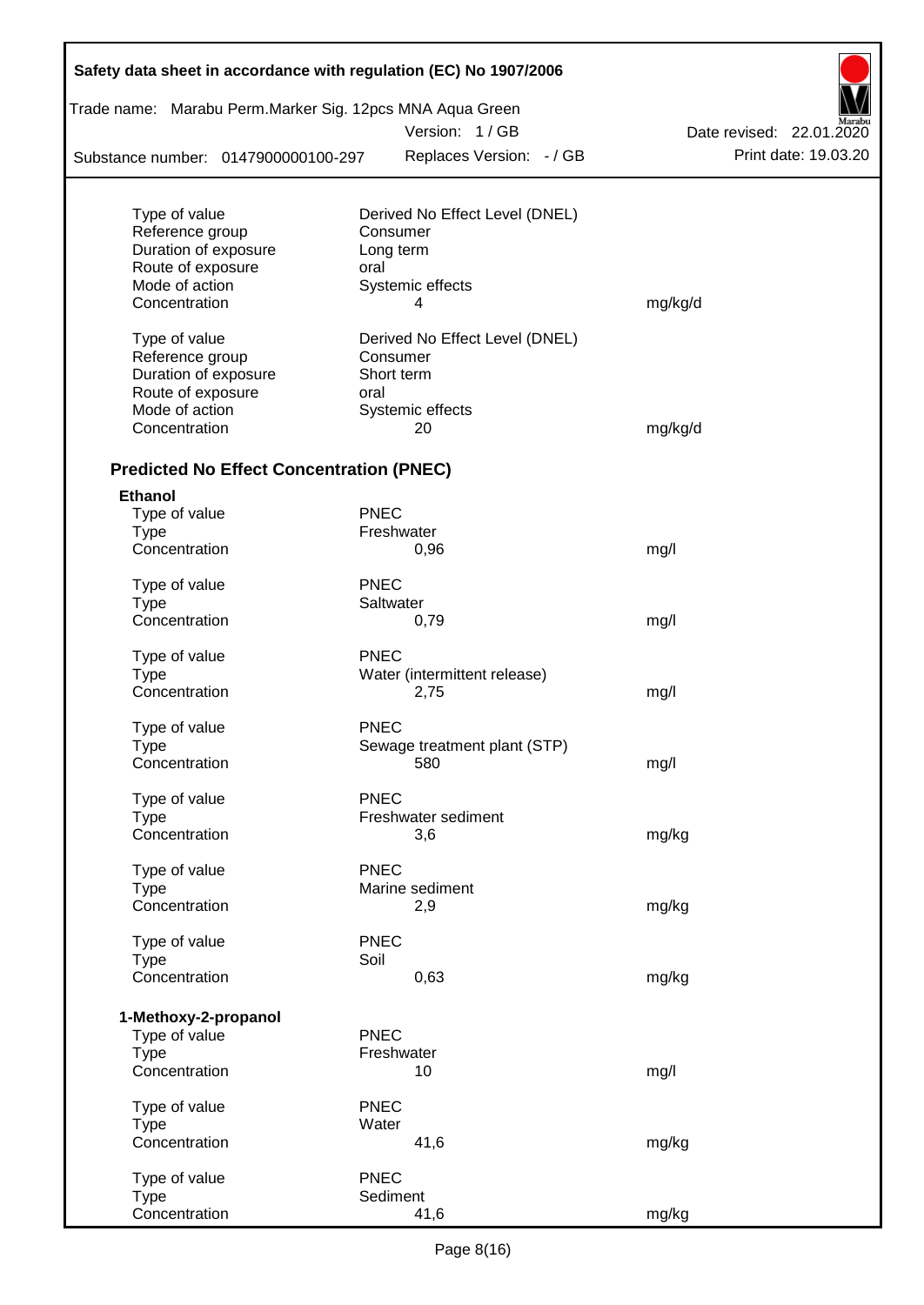| Safety data sheet in accordance with regulation (EC) No 1907/2006<br>Trade name: Marabu Perm.Marker Sig. 12pcs MNA Aqua Green |             |                                |                          |
|-------------------------------------------------------------------------------------------------------------------------------|-------------|--------------------------------|--------------------------|
|                                                                                                                               |             | Version: 1/GB                  | Date revised: 22.01.2020 |
|                                                                                                                               |             |                                | Print date: 19.03.20     |
| Substance number: 0147900000100-297                                                                                           |             | Replaces Version: - / GB       |                          |
| Type of value                                                                                                                 |             | Derived No Effect Level (DNEL) |                          |
| Reference group                                                                                                               |             | Consumer                       |                          |
| Duration of exposure                                                                                                          |             | Long term                      |                          |
| Route of exposure                                                                                                             | oral        |                                |                          |
| Mode of action                                                                                                                |             | Systemic effects               |                          |
| Concentration                                                                                                                 |             | 4                              | mg/kg/d                  |
| Type of value                                                                                                                 |             | Derived No Effect Level (DNEL) |                          |
| Reference group                                                                                                               |             | Consumer                       |                          |
| Duration of exposure                                                                                                          |             | Short term                     |                          |
| Route of exposure                                                                                                             | oral        |                                |                          |
| Mode of action                                                                                                                |             | Systemic effects               |                          |
| Concentration                                                                                                                 |             | 20                             | mg/kg/d                  |
| <b>Predicted No Effect Concentration (PNEC)</b>                                                                               |             |                                |                          |
| <b>Ethanol</b>                                                                                                                |             |                                |                          |
| Type of value                                                                                                                 | <b>PNEC</b> |                                |                          |
| <b>Type</b>                                                                                                                   |             | Freshwater                     |                          |
| Concentration                                                                                                                 |             | 0,96                           | mg/l                     |
| Type of value                                                                                                                 | <b>PNEC</b> |                                |                          |
| <b>Type</b>                                                                                                                   |             | Saltwater                      |                          |
| Concentration                                                                                                                 |             | 0,79                           | mg/l                     |
| Type of value                                                                                                                 | <b>PNEC</b> |                                |                          |
| <b>Type</b>                                                                                                                   |             | Water (intermittent release)   |                          |
| Concentration                                                                                                                 |             | 2,75                           | mg/l                     |
| Type of value                                                                                                                 | <b>PNEC</b> |                                |                          |
| Type                                                                                                                          |             | Sewage treatment plant (STP)   |                          |
| Concentration                                                                                                                 |             | 580                            | mg/l                     |
| Type of value                                                                                                                 | <b>PNEC</b> |                                |                          |
| <b>Type</b>                                                                                                                   |             | Freshwater sediment            |                          |
| Concentration                                                                                                                 |             | 3,6                            | mg/kg                    |
| Type of value                                                                                                                 | <b>PNEC</b> |                                |                          |
| <b>Type</b>                                                                                                                   |             | Marine sediment                |                          |
| Concentration                                                                                                                 |             | 2,9                            | mg/kg                    |
| Type of value                                                                                                                 | <b>PNEC</b> |                                |                          |
| <b>Type</b>                                                                                                                   | Soil        |                                |                          |
| Concentration                                                                                                                 |             | 0,63                           | mg/kg                    |
| 1-Methoxy-2-propanol                                                                                                          |             |                                |                          |
| Type of value                                                                                                                 | <b>PNEC</b> |                                |                          |
| <b>Type</b>                                                                                                                   |             | Freshwater                     |                          |
| Concentration                                                                                                                 |             | 10                             | mg/l                     |
| Type of value                                                                                                                 | <b>PNEC</b> |                                |                          |
| <b>Type</b>                                                                                                                   | Water       |                                |                          |
| Concentration                                                                                                                 |             | 41,6                           | mg/kg                    |
| Type of value                                                                                                                 | <b>PNEC</b> |                                |                          |
| <b>Type</b>                                                                                                                   |             | Sediment                       |                          |
| Concentration                                                                                                                 |             | 41,6                           | mg/kg                    |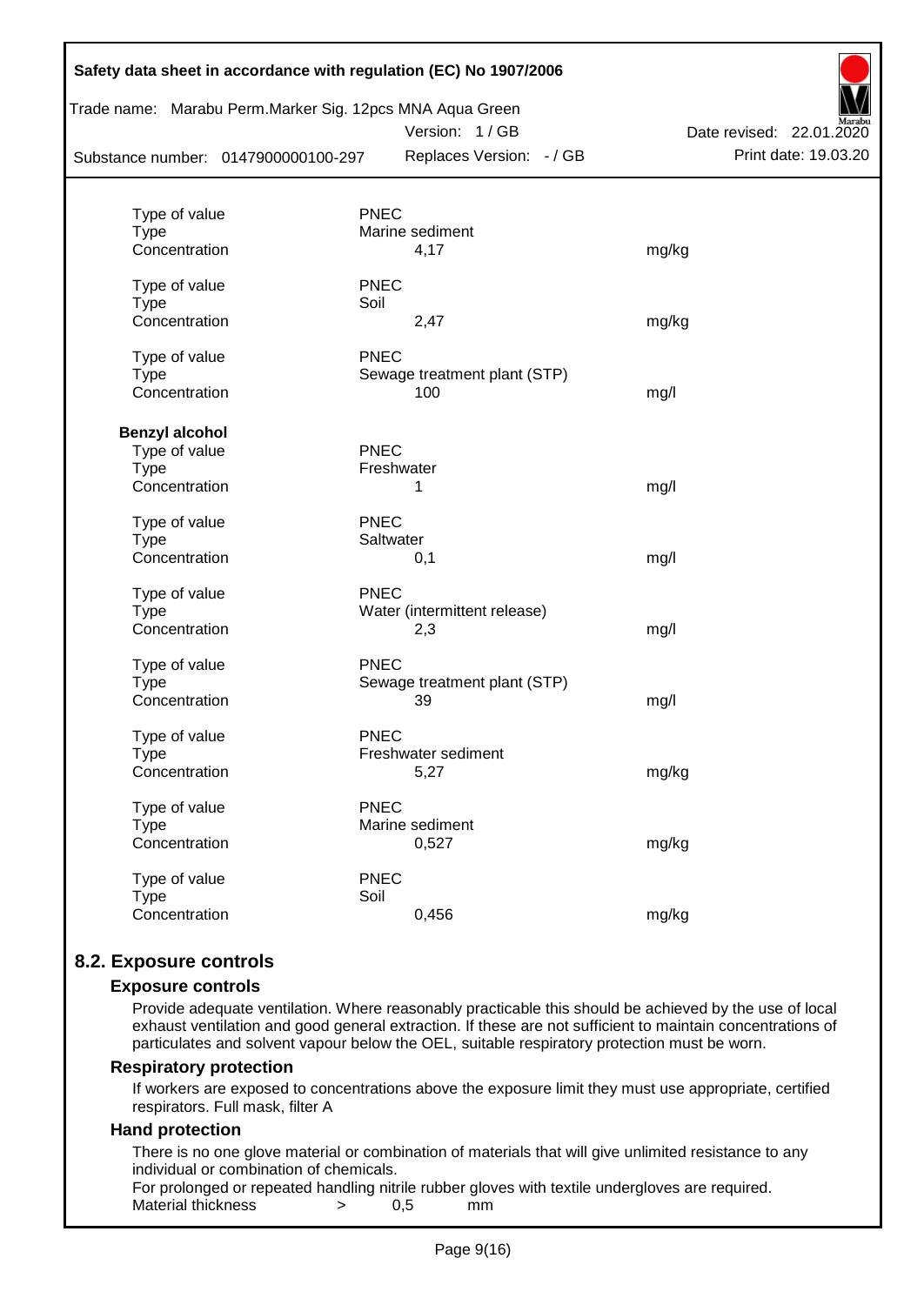| Substance number: 0147900000100-297 | Trade name: Marabu Perm.Marker Sig. 12pcs MNA Aqua Green<br>Version: 1/GB<br>Replaces Version: - / GB | Date revised: 22.01.2020<br>Print date: 19.03.20 |
|-------------------------------------|-------------------------------------------------------------------------------------------------------|--------------------------------------------------|
|                                     |                                                                                                       |                                                  |
| Type of value<br><b>Type</b>        | <b>PNEC</b><br>Marine sediment                                                                        |                                                  |
| Concentration                       | 4,17                                                                                                  | mg/kg                                            |
| Type of value                       | <b>PNEC</b>                                                                                           |                                                  |
| <b>Type</b>                         | Soil                                                                                                  |                                                  |
| Concentration                       | 2,47                                                                                                  | mg/kg                                            |
| Type of value                       | <b>PNEC</b>                                                                                           |                                                  |
| <b>Type</b>                         | Sewage treatment plant (STP)                                                                          |                                                  |
| Concentration                       | 100                                                                                                   | mg/l                                             |
| <b>Benzyl alcohol</b>               |                                                                                                       |                                                  |
| Type of value                       | <b>PNEC</b>                                                                                           |                                                  |
| <b>Type</b>                         | Freshwater                                                                                            |                                                  |
| Concentration                       | 1                                                                                                     | mg/l                                             |
| Type of value                       | <b>PNEC</b>                                                                                           |                                                  |
| Type                                | Saltwater                                                                                             |                                                  |
| Concentration                       | 0,1                                                                                                   | mg/l                                             |
| Type of value                       | <b>PNEC</b>                                                                                           |                                                  |
| <b>Type</b>                         | Water (intermittent release)                                                                          |                                                  |
| Concentration                       | 2,3                                                                                                   | mg/l                                             |
| Type of value                       | <b>PNEC</b>                                                                                           |                                                  |
| <b>Type</b>                         | Sewage treatment plant (STP)                                                                          |                                                  |
| Concentration                       | 39                                                                                                    | mg/l                                             |
| Type of value                       | <b>PNEC</b>                                                                                           |                                                  |
| Type                                | Freshwater sediment                                                                                   |                                                  |
| Concentration                       | 5,27                                                                                                  | mg/kg                                            |
| Type of value                       | <b>PNEC</b>                                                                                           |                                                  |
| <b>Type</b>                         | Marine sediment                                                                                       |                                                  |
| Concentration                       | 0,527                                                                                                 | mg/kg                                            |
| Type of value                       | <b>PNEC</b>                                                                                           |                                                  |
| <b>Type</b>                         | Soil                                                                                                  |                                                  |
| Concentration                       | 0,456                                                                                                 | mg/kg                                            |

# **8.2. Exposure controls**

#### **Exposure controls**

Provide adequate ventilation. Where reasonably practicable this should be achieved by the use of local exhaust ventilation and good general extraction. If these are not sufficient to maintain concentrations of particulates and solvent vapour below the OEL, suitable respiratory protection must be worn.

#### **Respiratory protection**

If workers are exposed to concentrations above the exposure limit they must use appropriate, certified respirators. Full mask, filter A

#### **Hand protection**

There is no one glove material or combination of materials that will give unlimited resistance to any individual or combination of chemicals.

For prolonged or repeated handling nitrile rubber gloves with textile undergloves are required. Material thickness  $\rightarrow$  0.5 mm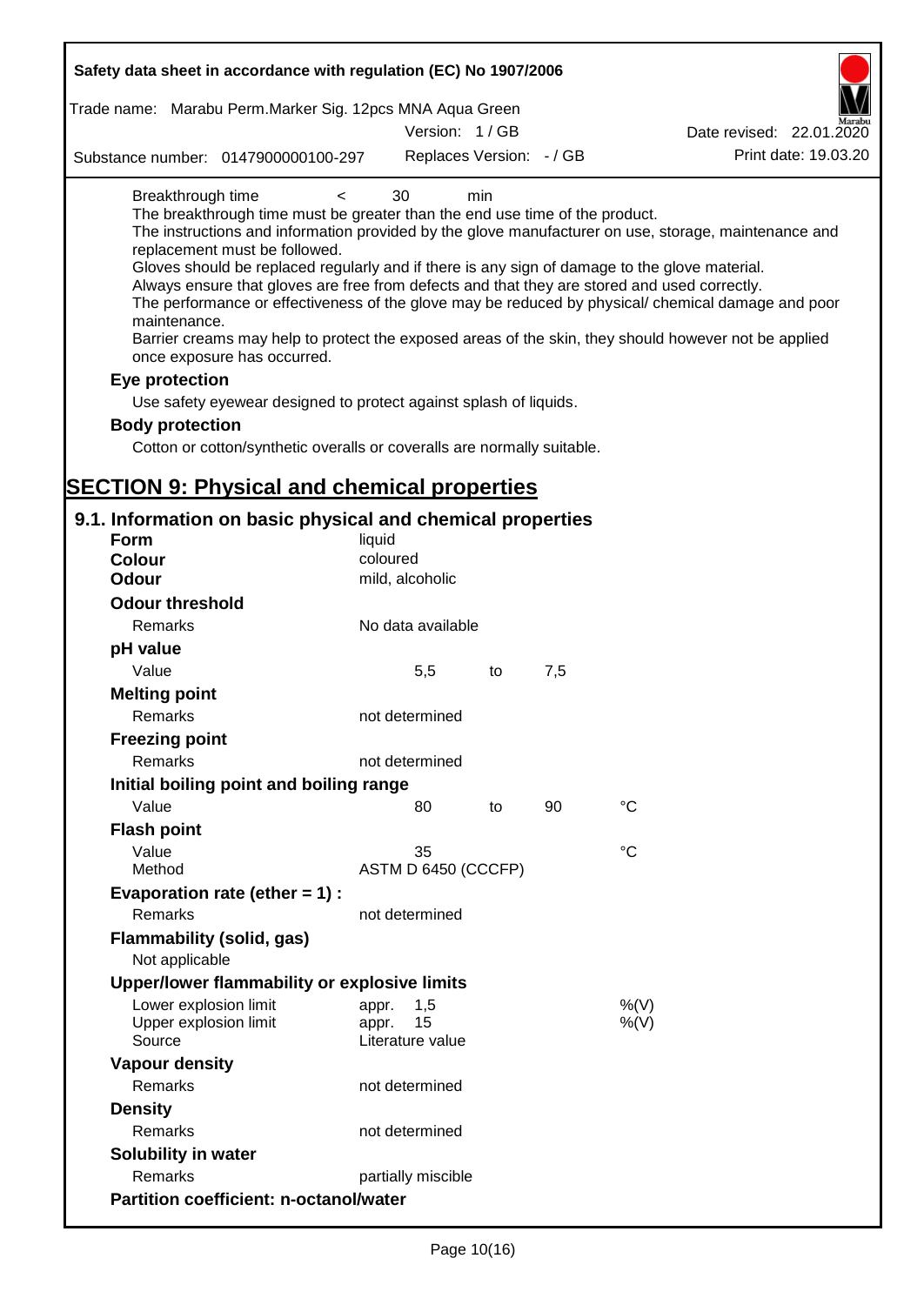| Safety data sheet in accordance with regulation (EC) No 1907/2006                                                                                                                                                                                                                                                                                                                            |                                                 |     |     |                                                                                                                                                                                                                                                                                                                    |
|----------------------------------------------------------------------------------------------------------------------------------------------------------------------------------------------------------------------------------------------------------------------------------------------------------------------------------------------------------------------------------------------|-------------------------------------------------|-----|-----|--------------------------------------------------------------------------------------------------------------------------------------------------------------------------------------------------------------------------------------------------------------------------------------------------------------------|
| Trade name: Marabu Perm. Marker Sig. 12pcs MNA Aqua Green                                                                                                                                                                                                                                                                                                                                    |                                                 |     |     |                                                                                                                                                                                                                                                                                                                    |
|                                                                                                                                                                                                                                                                                                                                                                                              | Version: 1/GB                                   |     |     | Date revised: 22.01.2020                                                                                                                                                                                                                                                                                           |
| Substance number: 0147900000100-297                                                                                                                                                                                                                                                                                                                                                          | Replaces Version: - / GB                        |     |     | Print date: 19.03.20                                                                                                                                                                                                                                                                                               |
| Breakthrough time<br>$\,<\,$<br>The breakthrough time must be greater than the end use time of the product.<br>replacement must be followed.<br>Gloves should be replaced regularly and if there is any sign of damage to the glove material.<br>Always ensure that gloves are free from defects and that they are stored and used correctly.<br>maintenance.<br>once exposure has occurred. | 30                                              | min |     | The instructions and information provided by the glove manufacturer on use, storage, maintenance and<br>The performance or effectiveness of the glove may be reduced by physical/ chemical damage and poor<br>Barrier creams may help to protect the exposed areas of the skin, they should however not be applied |
| Eye protection                                                                                                                                                                                                                                                                                                                                                                               |                                                 |     |     |                                                                                                                                                                                                                                                                                                                    |
| Use safety eyewear designed to protect against splash of liquids.                                                                                                                                                                                                                                                                                                                            |                                                 |     |     |                                                                                                                                                                                                                                                                                                                    |
| <b>Body protection</b>                                                                                                                                                                                                                                                                                                                                                                       |                                                 |     |     |                                                                                                                                                                                                                                                                                                                    |
| Cotton or cotton/synthetic overalls or coveralls are normally suitable.                                                                                                                                                                                                                                                                                                                      |                                                 |     |     |                                                                                                                                                                                                                                                                                                                    |
|                                                                                                                                                                                                                                                                                                                                                                                              |                                                 |     |     |                                                                                                                                                                                                                                                                                                                    |
| <b>SECTION 9: Physical and chemical properties</b>                                                                                                                                                                                                                                                                                                                                           |                                                 |     |     |                                                                                                                                                                                                                                                                                                                    |
| 9.1. Information on basic physical and chemical properties                                                                                                                                                                                                                                                                                                                                   |                                                 |     |     |                                                                                                                                                                                                                                                                                                                    |
| <b>Form</b>                                                                                                                                                                                                                                                                                                                                                                                  | liquid                                          |     |     |                                                                                                                                                                                                                                                                                                                    |
| <b>Colour</b>                                                                                                                                                                                                                                                                                                                                                                                | coloured                                        |     |     |                                                                                                                                                                                                                                                                                                                    |
| <b>Odour</b>                                                                                                                                                                                                                                                                                                                                                                                 | mild, alcoholic                                 |     |     |                                                                                                                                                                                                                                                                                                                    |
| <b>Odour threshold</b>                                                                                                                                                                                                                                                                                                                                                                       |                                                 |     |     |                                                                                                                                                                                                                                                                                                                    |
| Remarks                                                                                                                                                                                                                                                                                                                                                                                      | No data available                               |     |     |                                                                                                                                                                                                                                                                                                                    |
| pH value                                                                                                                                                                                                                                                                                                                                                                                     |                                                 |     |     |                                                                                                                                                                                                                                                                                                                    |
| Value                                                                                                                                                                                                                                                                                                                                                                                        | 5,5                                             | to  | 7,5 |                                                                                                                                                                                                                                                                                                                    |
| <b>Melting point</b><br>Remarks                                                                                                                                                                                                                                                                                                                                                              | not determined                                  |     |     |                                                                                                                                                                                                                                                                                                                    |
| <b>Freezing point</b>                                                                                                                                                                                                                                                                                                                                                                        |                                                 |     |     |                                                                                                                                                                                                                                                                                                                    |
| Remarks                                                                                                                                                                                                                                                                                                                                                                                      | not determined                                  |     |     |                                                                                                                                                                                                                                                                                                                    |
| Initial boiling point and boiling range                                                                                                                                                                                                                                                                                                                                                      |                                                 |     |     |                                                                                                                                                                                                                                                                                                                    |
| Value                                                                                                                                                                                                                                                                                                                                                                                        | 80                                              | to  | 90  | $^{\circ}C$                                                                                                                                                                                                                                                                                                        |
| <b>Flash point</b>                                                                                                                                                                                                                                                                                                                                                                           |                                                 |     |     |                                                                                                                                                                                                                                                                                                                    |
| Value                                                                                                                                                                                                                                                                                                                                                                                        | 35                                              |     |     | $^{\circ}C$                                                                                                                                                                                                                                                                                                        |
| Method                                                                                                                                                                                                                                                                                                                                                                                       | ASTM D 6450 (CCCFP)                             |     |     |                                                                                                                                                                                                                                                                                                                    |
| Evaporation rate (ether $= 1$ ) :                                                                                                                                                                                                                                                                                                                                                            |                                                 |     |     |                                                                                                                                                                                                                                                                                                                    |
| Remarks                                                                                                                                                                                                                                                                                                                                                                                      | not determined                                  |     |     |                                                                                                                                                                                                                                                                                                                    |
| <b>Flammability (solid, gas)</b>                                                                                                                                                                                                                                                                                                                                                             |                                                 |     |     |                                                                                                                                                                                                                                                                                                                    |
| Not applicable                                                                                                                                                                                                                                                                                                                                                                               |                                                 |     |     |                                                                                                                                                                                                                                                                                                                    |
| Upper/lower flammability or explosive limits                                                                                                                                                                                                                                                                                                                                                 |                                                 |     |     |                                                                                                                                                                                                                                                                                                                    |
| Lower explosion limit<br>Upper explosion limit<br>Source                                                                                                                                                                                                                                                                                                                                     | 1,5<br>appr.<br>15<br>appr.<br>Literature value |     |     | %(V)<br>$%$ (V)                                                                                                                                                                                                                                                                                                    |
| <b>Vapour density</b>                                                                                                                                                                                                                                                                                                                                                                        |                                                 |     |     |                                                                                                                                                                                                                                                                                                                    |
| Remarks                                                                                                                                                                                                                                                                                                                                                                                      | not determined                                  |     |     |                                                                                                                                                                                                                                                                                                                    |
| <b>Density</b>                                                                                                                                                                                                                                                                                                                                                                               |                                                 |     |     |                                                                                                                                                                                                                                                                                                                    |
| Remarks                                                                                                                                                                                                                                                                                                                                                                                      | not determined                                  |     |     |                                                                                                                                                                                                                                                                                                                    |
| Solubility in water                                                                                                                                                                                                                                                                                                                                                                          |                                                 |     |     |                                                                                                                                                                                                                                                                                                                    |
| Remarks                                                                                                                                                                                                                                                                                                                                                                                      | partially miscible                              |     |     |                                                                                                                                                                                                                                                                                                                    |
| <b>Partition coefficient: n-octanol/water</b>                                                                                                                                                                                                                                                                                                                                                |                                                 |     |     |                                                                                                                                                                                                                                                                                                                    |
|                                                                                                                                                                                                                                                                                                                                                                                              |                                                 |     |     |                                                                                                                                                                                                                                                                                                                    |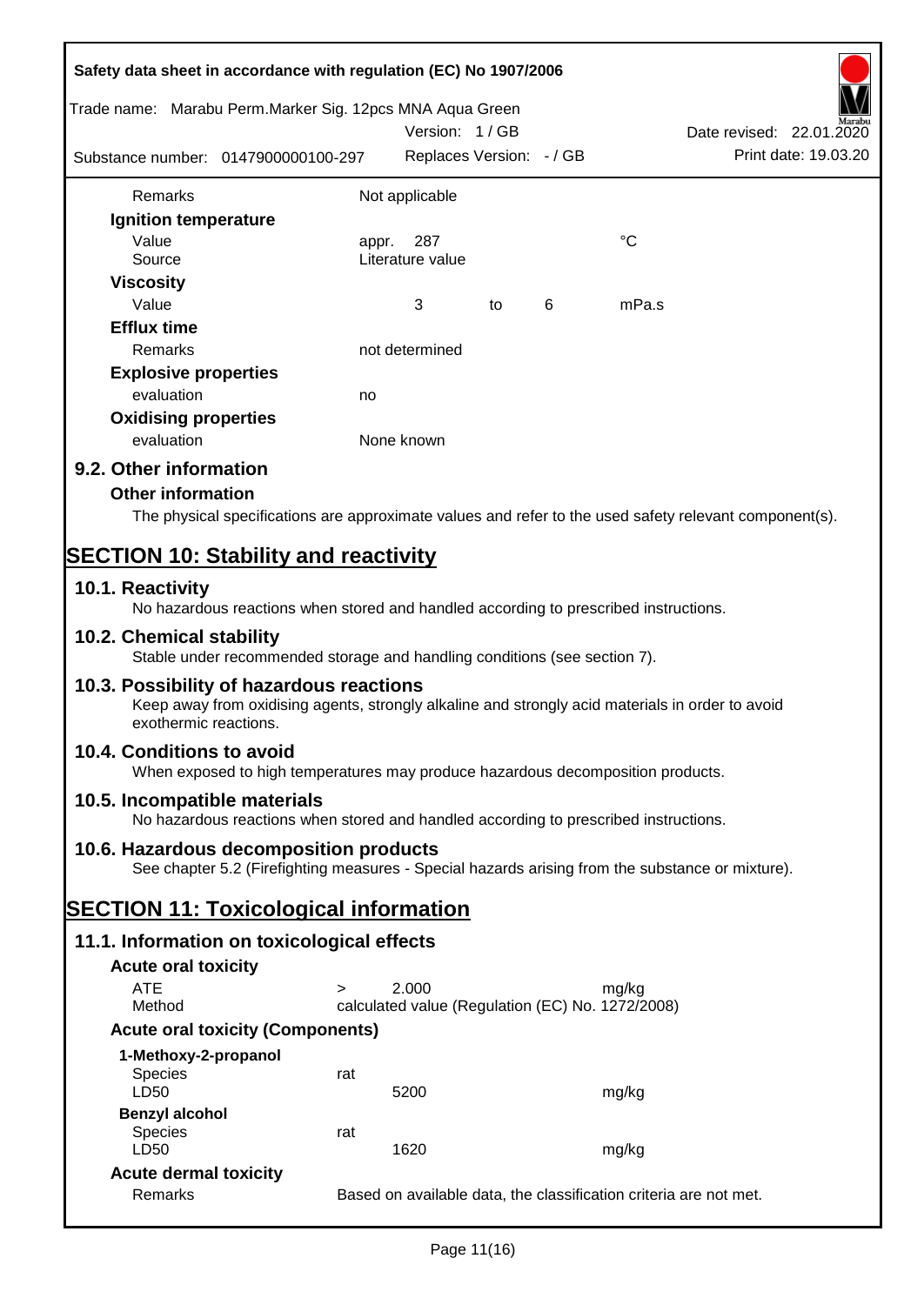| Safety data sheet in accordance with regulation (EC) No 1907/2006                                                                                                     |                                                                                                                                            |                          |    |   |                                                                                                        |  |
|-----------------------------------------------------------------------------------------------------------------------------------------------------------------------|--------------------------------------------------------------------------------------------------------------------------------------------|--------------------------|----|---|--------------------------------------------------------------------------------------------------------|--|
| Trade name: Marabu Perm. Marker Sig. 12pcs MNA Aqua Green                                                                                                             |                                                                                                                                            | Version: 1/GB            |    |   | Date revised: 22.01.2020                                                                               |  |
| Substance number: 0147900000100-297                                                                                                                                   |                                                                                                                                            | Replaces Version: - / GB |    |   | Print date: 19.03.20                                                                                   |  |
|                                                                                                                                                                       |                                                                                                                                            |                          |    |   |                                                                                                        |  |
| Remarks                                                                                                                                                               |                                                                                                                                            | Not applicable           |    |   |                                                                                                        |  |
| Ignition temperature                                                                                                                                                  |                                                                                                                                            |                          |    |   |                                                                                                        |  |
| Value                                                                                                                                                                 | appr.                                                                                                                                      | 287                      |    |   | °C                                                                                                     |  |
| Source                                                                                                                                                                |                                                                                                                                            | Literature value         |    |   |                                                                                                        |  |
| <b>Viscosity</b>                                                                                                                                                      |                                                                                                                                            |                          |    |   |                                                                                                        |  |
| Value                                                                                                                                                                 |                                                                                                                                            | 3                        | to | 6 | mPa.s                                                                                                  |  |
| <b>Efflux time</b>                                                                                                                                                    |                                                                                                                                            |                          |    |   |                                                                                                        |  |
| Remarks                                                                                                                                                               |                                                                                                                                            | not determined           |    |   |                                                                                                        |  |
| <b>Explosive properties</b>                                                                                                                                           |                                                                                                                                            |                          |    |   |                                                                                                        |  |
| evaluation                                                                                                                                                            | no                                                                                                                                         |                          |    |   |                                                                                                        |  |
| <b>Oxidising properties</b>                                                                                                                                           |                                                                                                                                            |                          |    |   |                                                                                                        |  |
| evaluation                                                                                                                                                            |                                                                                                                                            | None known               |    |   |                                                                                                        |  |
| 9.2. Other information                                                                                                                                                |                                                                                                                                            |                          |    |   |                                                                                                        |  |
| <b>Other information</b>                                                                                                                                              |                                                                                                                                            |                          |    |   |                                                                                                        |  |
|                                                                                                                                                                       |                                                                                                                                            |                          |    |   | The physical specifications are approximate values and refer to the used safety relevant component(s). |  |
|                                                                                                                                                                       |                                                                                                                                            |                          |    |   |                                                                                                        |  |
| <b>SECTION 10: Stability and reactivity</b>                                                                                                                           |                                                                                                                                            |                          |    |   |                                                                                                        |  |
| 10.1. Reactivity<br>No hazardous reactions when stored and handled according to prescribed instructions.                                                              |                                                                                                                                            |                          |    |   |                                                                                                        |  |
| 10.2. Chemical stability<br>Stable under recommended storage and handling conditions (see section 7).                                                                 |                                                                                                                                            |                          |    |   |                                                                                                        |  |
| 10.3. Possibility of hazardous reactions<br>Keep away from oxidising agents, strongly alkaline and strongly acid materials in order to avoid<br>exothermic reactions. |                                                                                                                                            |                          |    |   |                                                                                                        |  |
| 10.4. Conditions to avoid<br>When exposed to high temperatures may produce hazardous decomposition products.                                                          |                                                                                                                                            |                          |    |   |                                                                                                        |  |
|                                                                                                                                                                       |                                                                                                                                            |                          |    |   |                                                                                                        |  |
| 10.5. Incompatible materials<br>No hazardous reactions when stored and handled according to prescribed instructions.                                                  |                                                                                                                                            |                          |    |   |                                                                                                        |  |
|                                                                                                                                                                       | 10.6. Hazardous decomposition products<br>See chapter 5.2 (Firefighting measures - Special hazards arising from the substance or mixture). |                          |    |   |                                                                                                        |  |
| <b>SECTION 11: Toxicological information</b>                                                                                                                          |                                                                                                                                            |                          |    |   |                                                                                                        |  |
| 11.1. Information on toxicological effects                                                                                                                            |                                                                                                                                            |                          |    |   |                                                                                                        |  |
| <b>Acute oral toxicity</b>                                                                                                                                            |                                                                                                                                            |                          |    |   |                                                                                                        |  |
| <b>ATE</b>                                                                                                                                                            | $\geq$                                                                                                                                     | 2.000                    |    |   | mg/kg                                                                                                  |  |
| Method                                                                                                                                                                |                                                                                                                                            |                          |    |   |                                                                                                        |  |
|                                                                                                                                                                       | calculated value (Regulation (EC) No. 1272/2008)<br><b>Acute oral toxicity (Components)</b>                                                |                          |    |   |                                                                                                        |  |
| 1-Methoxy-2-propanol                                                                                                                                                  |                                                                                                                                            |                          |    |   |                                                                                                        |  |
| <b>Species</b>                                                                                                                                                        | rat                                                                                                                                        |                          |    |   |                                                                                                        |  |
| LD50                                                                                                                                                                  |                                                                                                                                            | 5200                     |    |   | mg/kg                                                                                                  |  |
| <b>Benzyl alcohol</b>                                                                                                                                                 |                                                                                                                                            |                          |    |   |                                                                                                        |  |
| <b>Species</b>                                                                                                                                                        | rat                                                                                                                                        |                          |    |   |                                                                                                        |  |
| LD50                                                                                                                                                                  |                                                                                                                                            | 1620                     |    |   | mg/kg                                                                                                  |  |
| <b>Acute dermal toxicity</b>                                                                                                                                          |                                                                                                                                            |                          |    |   |                                                                                                        |  |
| Remarks                                                                                                                                                               |                                                                                                                                            |                          |    |   | Based on available data, the classification criteria are not met.                                      |  |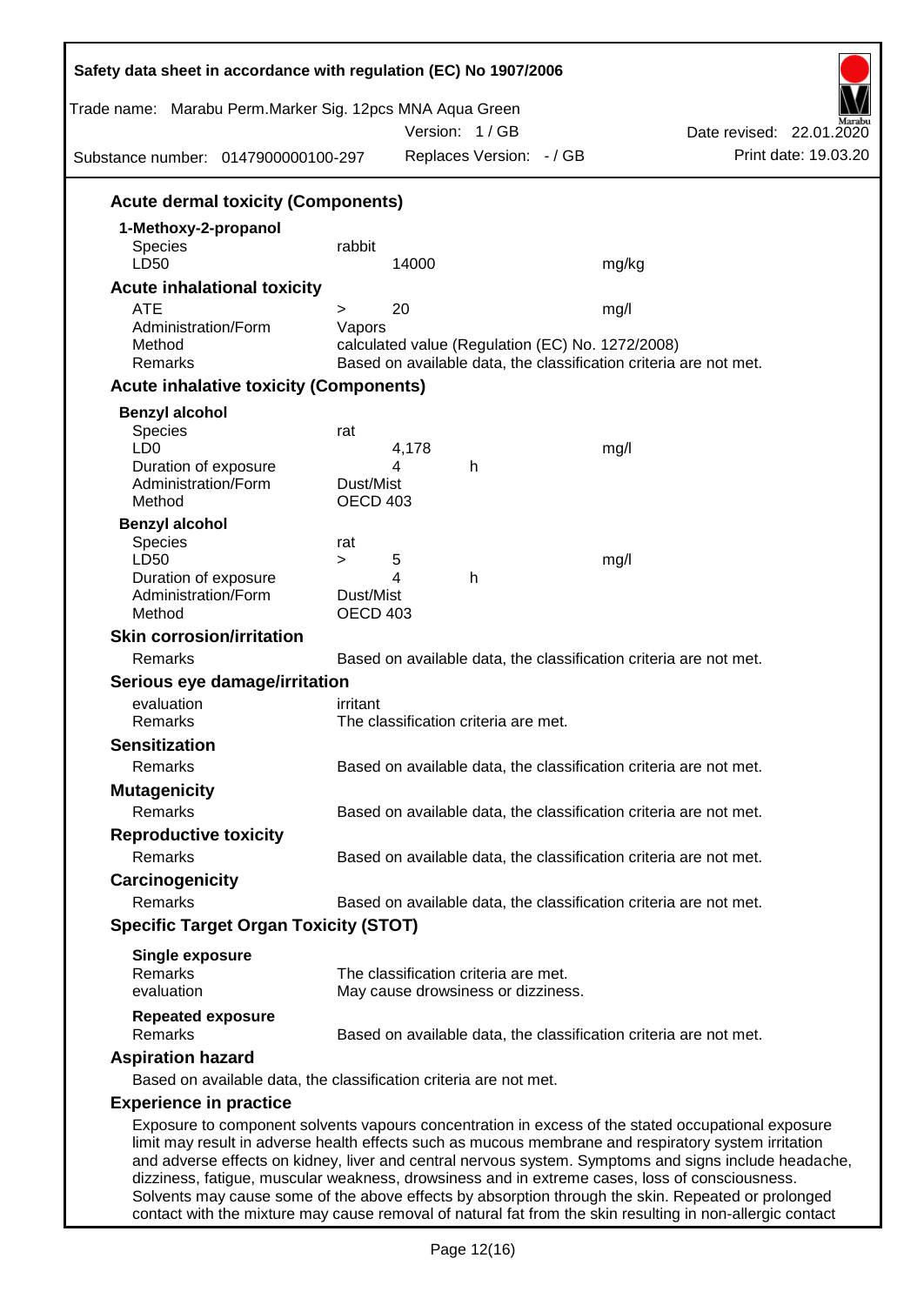| Trade name: Marabu Perm.Marker Sig. 12pcs MNA Aqua Green<br>Substance number: 0147900000100-297 | Version: 1/GB<br>Replaces Version: - / GB                                                      | Date revised: 22.01.2020<br>Print date: 19.03.20                                                                                                                                                                                                                                                                    |  |
|-------------------------------------------------------------------------------------------------|------------------------------------------------------------------------------------------------|---------------------------------------------------------------------------------------------------------------------------------------------------------------------------------------------------------------------------------------------------------------------------------------------------------------------|--|
| <b>Acute dermal toxicity (Components)</b>                                                       |                                                                                                |                                                                                                                                                                                                                                                                                                                     |  |
| 1-Methoxy-2-propanol                                                                            |                                                                                                |                                                                                                                                                                                                                                                                                                                     |  |
| Species<br>LD50                                                                                 | rabbit                                                                                         |                                                                                                                                                                                                                                                                                                                     |  |
|                                                                                                 | 14000                                                                                          | mg/kg                                                                                                                                                                                                                                                                                                               |  |
| <b>Acute inhalational toxicity</b><br><b>ATE</b>                                                | 20<br>$\geq$                                                                                   |                                                                                                                                                                                                                                                                                                                     |  |
| Administration/Form                                                                             | Vapors                                                                                         | mg/l                                                                                                                                                                                                                                                                                                                |  |
| Method                                                                                          | calculated value (Regulation (EC) No. 1272/2008)                                               |                                                                                                                                                                                                                                                                                                                     |  |
| Remarks                                                                                         | Based on available data, the classification criteria are not met.                              |                                                                                                                                                                                                                                                                                                                     |  |
| <b>Acute inhalative toxicity (Components)</b>                                                   |                                                                                                |                                                                                                                                                                                                                                                                                                                     |  |
| <b>Benzyl alcohol</b>                                                                           |                                                                                                |                                                                                                                                                                                                                                                                                                                     |  |
| Species                                                                                         | rat                                                                                            |                                                                                                                                                                                                                                                                                                                     |  |
| LD <sub>0</sub><br>Duration of exposure                                                         | 4,178<br>4<br>h                                                                                | mg/l                                                                                                                                                                                                                                                                                                                |  |
| Administration/Form                                                                             | Dust/Mist                                                                                      |                                                                                                                                                                                                                                                                                                                     |  |
| Method                                                                                          | OECD 403                                                                                       |                                                                                                                                                                                                                                                                                                                     |  |
| <b>Benzyl alcohol</b>                                                                           |                                                                                                |                                                                                                                                                                                                                                                                                                                     |  |
| <b>Species</b>                                                                                  | rat                                                                                            |                                                                                                                                                                                                                                                                                                                     |  |
| LD50<br>Duration of exposure                                                                    | 5<br>$\geq$<br>4<br>h                                                                          | mg/l                                                                                                                                                                                                                                                                                                                |  |
| Administration/Form                                                                             | Dust/Mist                                                                                      |                                                                                                                                                                                                                                                                                                                     |  |
| Method                                                                                          | <b>OECD 403</b>                                                                                |                                                                                                                                                                                                                                                                                                                     |  |
| <b>Skin corrosion/irritation</b>                                                                |                                                                                                |                                                                                                                                                                                                                                                                                                                     |  |
| Remarks                                                                                         | Based on available data, the classification criteria are not met.                              |                                                                                                                                                                                                                                                                                                                     |  |
| Serious eye damage/irritation                                                                   |                                                                                                |                                                                                                                                                                                                                                                                                                                     |  |
| evaluation                                                                                      | irritant                                                                                       |                                                                                                                                                                                                                                                                                                                     |  |
| Remarks                                                                                         | The classification criteria are met.                                                           |                                                                                                                                                                                                                                                                                                                     |  |
| <b>Sensitization</b>                                                                            |                                                                                                |                                                                                                                                                                                                                                                                                                                     |  |
| Remarks                                                                                         | Based on available data, the classification criteria are not met.                              |                                                                                                                                                                                                                                                                                                                     |  |
| <b>Mutagenicity</b>                                                                             |                                                                                                |                                                                                                                                                                                                                                                                                                                     |  |
| Remarks                                                                                         | Based on available data, the classification criteria are not met.                              |                                                                                                                                                                                                                                                                                                                     |  |
| <b>Reproductive toxicity</b>                                                                    |                                                                                                |                                                                                                                                                                                                                                                                                                                     |  |
| Remarks                                                                                         | Based on available data, the classification criteria are not met.                              |                                                                                                                                                                                                                                                                                                                     |  |
| Carcinogenicity                                                                                 |                                                                                                |                                                                                                                                                                                                                                                                                                                     |  |
| Remarks                                                                                         | Based on available data, the classification criteria are not met.                              |                                                                                                                                                                                                                                                                                                                     |  |
| <b>Specific Target Organ Toxicity (STOT)</b>                                                    |                                                                                                |                                                                                                                                                                                                                                                                                                                     |  |
| <b>Single exposure</b>                                                                          |                                                                                                |                                                                                                                                                                                                                                                                                                                     |  |
| Remarks                                                                                         | The classification criteria are met.                                                           |                                                                                                                                                                                                                                                                                                                     |  |
| evaluation                                                                                      | May cause drowsiness or dizziness.                                                             |                                                                                                                                                                                                                                                                                                                     |  |
| <b>Repeated exposure</b>                                                                        |                                                                                                |                                                                                                                                                                                                                                                                                                                     |  |
| Remarks                                                                                         | Based on available data, the classification criteria are not met.                              |                                                                                                                                                                                                                                                                                                                     |  |
| <b>Aspiration hazard</b>                                                                        |                                                                                                |                                                                                                                                                                                                                                                                                                                     |  |
|                                                                                                 | Based on available data, the classification criteria are not met.                              |                                                                                                                                                                                                                                                                                                                     |  |
| <b>Experience in practice</b>                                                                   |                                                                                                |                                                                                                                                                                                                                                                                                                                     |  |
|                                                                                                 | dizziness, fatigue, muscular weakness, drowsiness and in extreme cases, loss of consciousness. | Exposure to component solvents vapours concentration in excess of the stated occupational exposure<br>limit may result in adverse health effects such as mucous membrane and respiratory system irritation<br>and adverse effects on kidney, liver and central nervous system. Symptoms and signs include headache, |  |

contact with the mixture may cause removal of natural fat from the skin resulting in non-allergic contact

Solvents may cause some of the above effects by absorption through the skin. Repeated or prolonged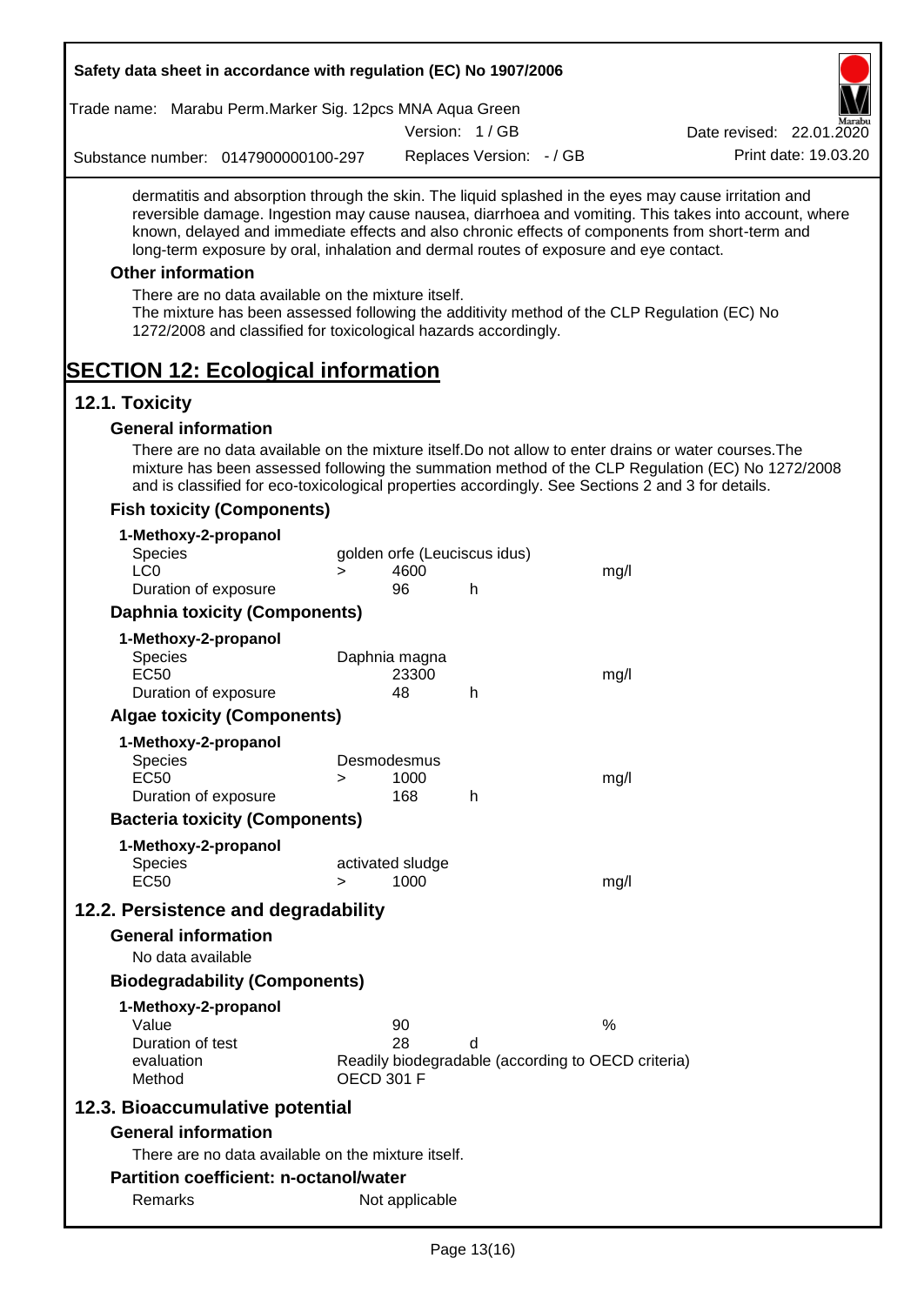| Safety data sheet in accordance with regulation (EC) No 1907/2006                                                                                                                                                                                                                                                                                                                                                                                                                                                                                    |                   |                          |                              |                                                    |                                                                                                       |
|------------------------------------------------------------------------------------------------------------------------------------------------------------------------------------------------------------------------------------------------------------------------------------------------------------------------------------------------------------------------------------------------------------------------------------------------------------------------------------------------------------------------------------------------------|-------------------|--------------------------|------------------------------|----------------------------------------------------|-------------------------------------------------------------------------------------------------------|
| Trade name: Marabu Perm. Marker Sig. 12pcs MNA Aqua Green                                                                                                                                                                                                                                                                                                                                                                                                                                                                                            |                   |                          |                              |                                                    |                                                                                                       |
|                                                                                                                                                                                                                                                                                                                                                                                                                                                                                                                                                      |                   |                          | Version: 1/GB                |                                                    | Date revised: 22.01.2020                                                                              |
| Substance number: 0147900000100-297                                                                                                                                                                                                                                                                                                                                                                                                                                                                                                                  |                   |                          | Replaces Version: - / GB     |                                                    | Print date: 19.03.20                                                                                  |
| dermatitis and absorption through the skin. The liquid splashed in the eyes may cause irritation and<br>known, delayed and immediate effects and also chronic effects of components from short-term and<br>long-term exposure by oral, inhalation and dermal routes of exposure and eye contact.<br><b>Other information</b><br>There are no data available on the mixture itself.<br>The mixture has been assessed following the additivity method of the CLP Regulation (EC) No<br>1272/2008 and classified for toxicological hazards accordingly. |                   |                          |                              |                                                    | reversible damage. Ingestion may cause nausea, diarrhoea and vomiting. This takes into account, where |
| <b>SECTION 12: Ecological information</b>                                                                                                                                                                                                                                                                                                                                                                                                                                                                                                            |                   |                          |                              |                                                    |                                                                                                       |
| 12.1. Toxicity                                                                                                                                                                                                                                                                                                                                                                                                                                                                                                                                       |                   |                          |                              |                                                    |                                                                                                       |
| <b>General information</b>                                                                                                                                                                                                                                                                                                                                                                                                                                                                                                                           |                   |                          |                              |                                                    |                                                                                                       |
| There are no data available on the mixture itself. Do not allow to enter drains or water courses. The<br>and is classified for eco-toxicological properties accordingly. See Sections 2 and 3 for details.<br><b>Fish toxicity (Components)</b>                                                                                                                                                                                                                                                                                                      |                   |                          |                              |                                                    | mixture has been assessed following the summation method of the CLP Regulation (EC) No 1272/2008      |
|                                                                                                                                                                                                                                                                                                                                                                                                                                                                                                                                                      |                   |                          |                              |                                                    |                                                                                                       |
| 1-Methoxy-2-propanol<br><b>Species</b>                                                                                                                                                                                                                                                                                                                                                                                                                                                                                                               |                   |                          | golden orfe (Leuciscus idus) |                                                    |                                                                                                       |
| LC <sub>0</sub>                                                                                                                                                                                                                                                                                                                                                                                                                                                                                                                                      | $\geq$            | 4600                     |                              | mg/l                                               |                                                                                                       |
| Duration of exposure                                                                                                                                                                                                                                                                                                                                                                                                                                                                                                                                 |                   | 96                       | h                            |                                                    |                                                                                                       |
| <b>Daphnia toxicity (Components)</b>                                                                                                                                                                                                                                                                                                                                                                                                                                                                                                                 |                   |                          |                              |                                                    |                                                                                                       |
| 1-Methoxy-2-propanol                                                                                                                                                                                                                                                                                                                                                                                                                                                                                                                                 |                   |                          |                              |                                                    |                                                                                                       |
| <b>Species</b>                                                                                                                                                                                                                                                                                                                                                                                                                                                                                                                                       |                   | Daphnia magna            |                              |                                                    |                                                                                                       |
| <b>EC50</b>                                                                                                                                                                                                                                                                                                                                                                                                                                                                                                                                          |                   | 23300                    |                              | mg/l                                               |                                                                                                       |
| Duration of exposure                                                                                                                                                                                                                                                                                                                                                                                                                                                                                                                                 |                   | 48                       | h                            |                                                    |                                                                                                       |
| <b>Algae toxicity (Components)</b>                                                                                                                                                                                                                                                                                                                                                                                                                                                                                                                   |                   |                          |                              |                                                    |                                                                                                       |
| 1-Methoxy-2-propanol                                                                                                                                                                                                                                                                                                                                                                                                                                                                                                                                 |                   |                          |                              |                                                    |                                                                                                       |
| <b>Species</b>                                                                                                                                                                                                                                                                                                                                                                                                                                                                                                                                       |                   | Desmodesmus              |                              |                                                    |                                                                                                       |
| <b>EC50</b>                                                                                                                                                                                                                                                                                                                                                                                                                                                                                                                                          | >                 | 1000<br>168              |                              | mg/l                                               |                                                                                                       |
| Duration of exposure                                                                                                                                                                                                                                                                                                                                                                                                                                                                                                                                 |                   |                          | h                            |                                                    |                                                                                                       |
| <b>Bacteria toxicity (Components)</b>                                                                                                                                                                                                                                                                                                                                                                                                                                                                                                                |                   |                          |                              |                                                    |                                                                                                       |
| 1-Methoxy-2-propanol                                                                                                                                                                                                                                                                                                                                                                                                                                                                                                                                 |                   |                          |                              |                                                    |                                                                                                       |
| <b>Species</b><br><b>EC50</b>                                                                                                                                                                                                                                                                                                                                                                                                                                                                                                                        | $\geq$            | activated sludge<br>1000 |                              | mg/l                                               |                                                                                                       |
|                                                                                                                                                                                                                                                                                                                                                                                                                                                                                                                                                      |                   |                          |                              |                                                    |                                                                                                       |
| 12.2. Persistence and degradability                                                                                                                                                                                                                                                                                                                                                                                                                                                                                                                  |                   |                          |                              |                                                    |                                                                                                       |
| <b>General information</b>                                                                                                                                                                                                                                                                                                                                                                                                                                                                                                                           |                   |                          |                              |                                                    |                                                                                                       |
| No data available                                                                                                                                                                                                                                                                                                                                                                                                                                                                                                                                    |                   |                          |                              |                                                    |                                                                                                       |
| <b>Biodegradability (Components)</b>                                                                                                                                                                                                                                                                                                                                                                                                                                                                                                                 |                   |                          |                              |                                                    |                                                                                                       |
| 1-Methoxy-2-propanol                                                                                                                                                                                                                                                                                                                                                                                                                                                                                                                                 |                   |                          |                              |                                                    |                                                                                                       |
| Value<br>Duration of test                                                                                                                                                                                                                                                                                                                                                                                                                                                                                                                            |                   | 90<br>28                 | d                            | %                                                  |                                                                                                       |
| evaluation                                                                                                                                                                                                                                                                                                                                                                                                                                                                                                                                           |                   |                          |                              | Readily biodegradable (according to OECD criteria) |                                                                                                       |
| Method                                                                                                                                                                                                                                                                                                                                                                                                                                                                                                                                               | <b>OECD 301 F</b> |                          |                              |                                                    |                                                                                                       |
| 12.3. Bioaccumulative potential                                                                                                                                                                                                                                                                                                                                                                                                                                                                                                                      |                   |                          |                              |                                                    |                                                                                                       |
| <b>General information</b>                                                                                                                                                                                                                                                                                                                                                                                                                                                                                                                           |                   |                          |                              |                                                    |                                                                                                       |
| There are no data available on the mixture itself.                                                                                                                                                                                                                                                                                                                                                                                                                                                                                                   |                   |                          |                              |                                                    |                                                                                                       |
| <b>Partition coefficient: n-octanol/water</b>                                                                                                                                                                                                                                                                                                                                                                                                                                                                                                        |                   |                          |                              |                                                    |                                                                                                       |
| Remarks                                                                                                                                                                                                                                                                                                                                                                                                                                                                                                                                              |                   | Not applicable           |                              |                                                    |                                                                                                       |
|                                                                                                                                                                                                                                                                                                                                                                                                                                                                                                                                                      |                   |                          |                              |                                                    |                                                                                                       |

 $\overline{\phantom{a}}$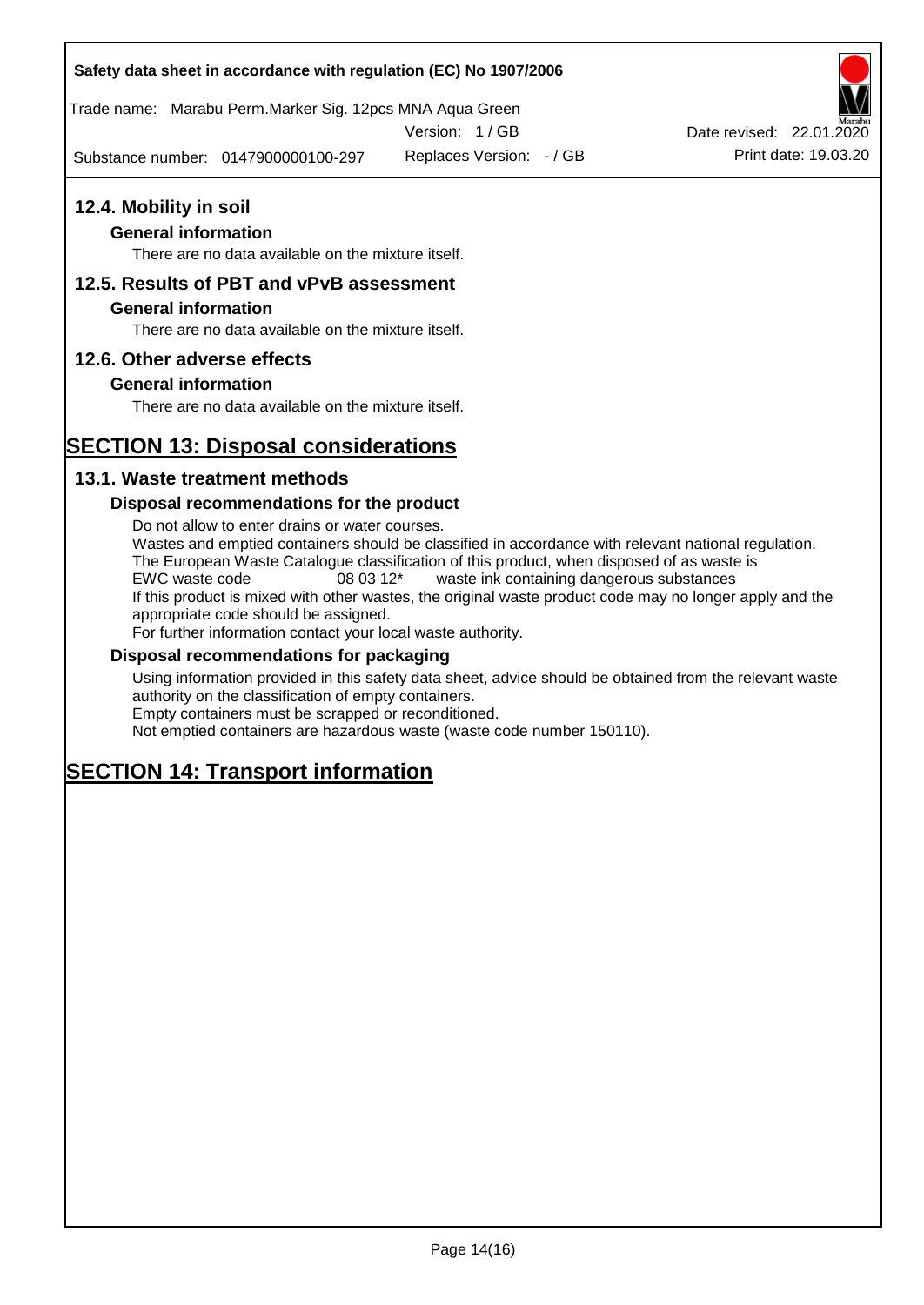#### **Safety data sheet in accordance with regulation (EC) No 1907/2006**

Trade name: Marabu Perm.Marker Sig. 12pcs MNA Aqua Green

Version: 1 / GB

Substance number: 0147900000100-297

Replaces Version:  $-$  / GB Print date: 19.03.20 Date revised: 22.01.2020

# **12.4. Mobility in soil**

## **General information**

There are no data available on the mixture itself.

## **12.5. Results of PBT and vPvB assessment**

#### **General information**

There are no data available on the mixture itself.

#### **12.6. Other adverse effects**

#### **General information**

There are no data available on the mixture itself.

# **SECTION 13: Disposal considerations**

### **13.1. Waste treatment methods**

#### **Disposal recommendations for the product**

Do not allow to enter drains or water courses. Wastes and emptied containers should be classified in accordance with relevant national regulation. The European Waste Catalogue classification of this product, when disposed of as waste is EWC waste code 08 03 12\* waste ink containing dangerous substances If this product is mixed with other wastes, the original waste product code may no longer apply and the appropriate code should be assigned. For further information contact your local waste authority.

#### **Disposal recommendations for packaging**

Using information provided in this safety data sheet, advice should be obtained from the relevant waste authority on the classification of empty containers. Empty containers must be scrapped or reconditioned.

Not emptied containers are hazardous waste (waste code number 150110).

# **SECTION 14: Transport information**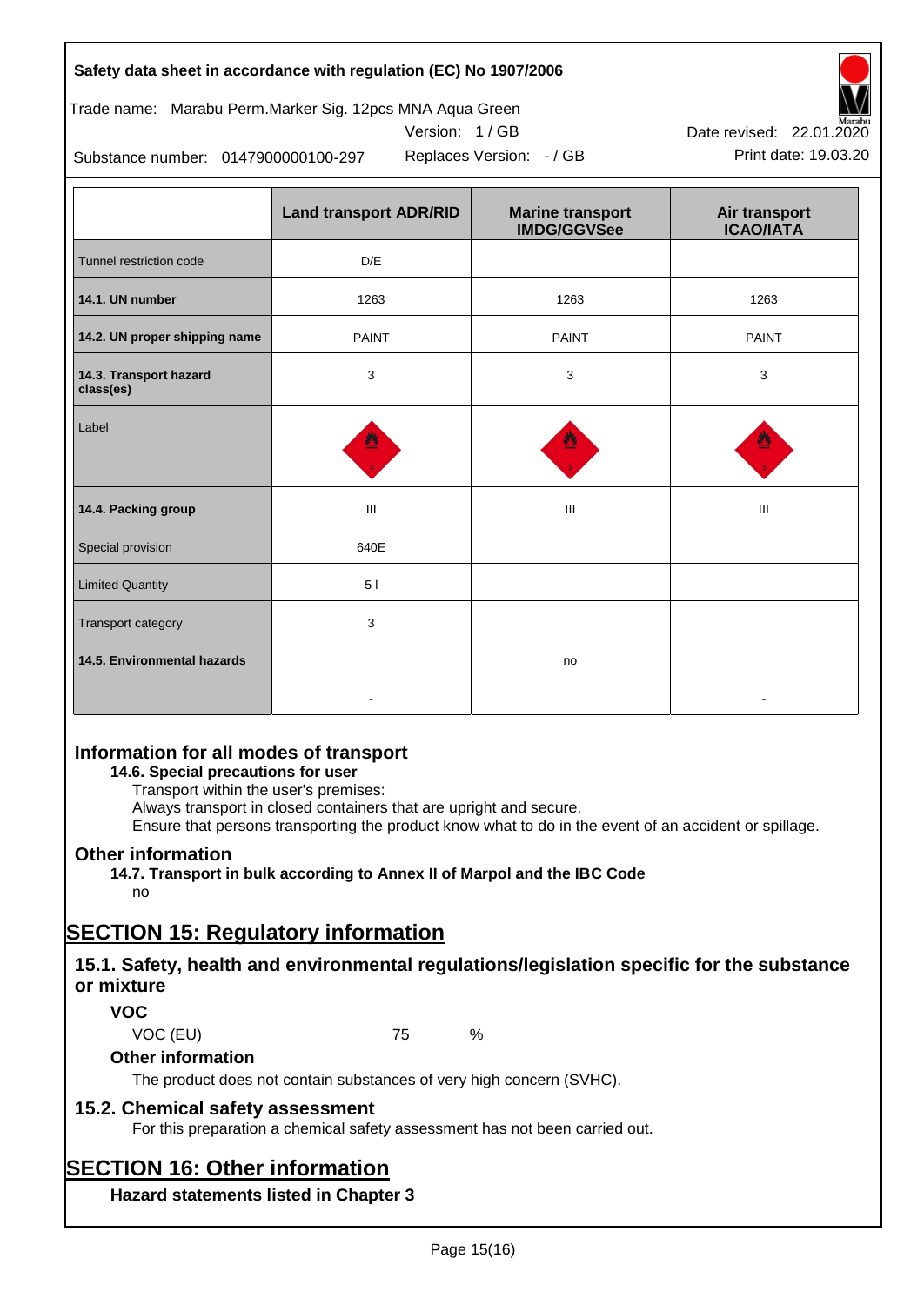| Safety data sheet in accordance with regulation (EC) No 1907/2006 |  |
|-------------------------------------------------------------------|--|
|-------------------------------------------------------------------|--|



$$
Version: 1 / GB
$$



Replaces Version:  $-$  / GB Print date: 19.03.20 Date revised: 22.01.2020

Substance number: 0147900000100-297

|                                     | <b>Land transport ADR/RID</b> | <b>Marine transport</b><br><b>IMDG/GGVSee</b> | Air transport<br><b>ICAO/IATA</b> |
|-------------------------------------|-------------------------------|-----------------------------------------------|-----------------------------------|
| Tunnel restriction code             | D/E                           |                                               |                                   |
| 14.1. UN number                     | 1263                          | 1263                                          | 1263                              |
| 14.2. UN proper shipping name       | <b>PAINT</b><br><b>PAINT</b>  |                                               | <b>PAINT</b>                      |
| 14.3. Transport hazard<br>class(es) | 3<br>3                        |                                               | 3                                 |
| Label                               |                               |                                               |                                   |
| 14.4. Packing group                 | Ш                             | Ш                                             | Ш                                 |
| Special provision                   | 640E                          |                                               |                                   |
| <b>Limited Quantity</b>             | 51                            |                                               |                                   |
| Transport category                  | 3                             |                                               |                                   |
| 14.5. Environmental hazards         |                               | no                                            |                                   |

# **Information for all modes of transport**

#### **14.6. Special precautions for user**

Transport within the user's premises:

Always transport in closed containers that are upright and secure.

Ensure that persons transporting the product know what to do in the event of an accident or spillage.

## **Other information**

**14.7. Transport in bulk according to Annex II of Marpol and the IBC Code** no

# **SECTION 15: Regulatory information**

# **15.1. Safety, health and environmental regulations/legislation specific for the substance or mixture**

## **VOC**

VOC (EU) 75 %

## **Other information**

The product does not contain substances of very high concern (SVHC).

## **15.2. Chemical safety assessment**

For this preparation a chemical safety assessment has not been carried out.

# **SECTION 16: Other information**

**Hazard statements listed in Chapter 3**